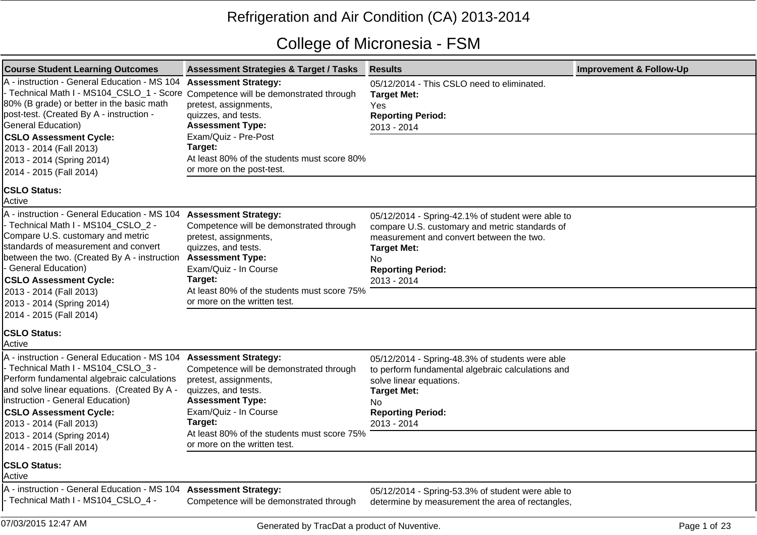## Refrigeration and Air Condition (CA) 2013-2014

## College of Micronesia - FSM

| <b>Course Student Learning Outcomes</b>                                                                                                                                                                                                                                                                | <b>Assessment Strategies &amp; Target / Tasks</b>                                                                                                                                                                                                                    | <b>Results</b>                                                                                                                                                                                                          | <b>Improvement &amp; Follow-Up</b> |
|--------------------------------------------------------------------------------------------------------------------------------------------------------------------------------------------------------------------------------------------------------------------------------------------------------|----------------------------------------------------------------------------------------------------------------------------------------------------------------------------------------------------------------------------------------------------------------------|-------------------------------------------------------------------------------------------------------------------------------------------------------------------------------------------------------------------------|------------------------------------|
| A - instruction - General Education - MS 104 Assessment Strategy:<br>- Technical Math I - MS104_CSLO_1 - Score Competence will be demonstrated through<br>80% (B grade) or better in the basic math<br>post-test. (Created By A - instruction -<br>General Education)<br><b>CSLO Assessment Cycle:</b> | pretest, assignments,<br>quizzes, and tests.<br><b>Assessment Type:</b><br>Exam/Quiz - Pre-Post                                                                                                                                                                      | 05/12/2014 - This CSLO need to eliminated.<br><b>Target Met:</b><br>Yes<br><b>Reporting Period:</b><br>2013 - 2014                                                                                                      |                                    |
| 2013 - 2014 (Fall 2013)<br>2013 - 2014 (Spring 2014)<br>2014 - 2015 (Fall 2014)                                                                                                                                                                                                                        | Target:<br>At least 80% of the students must score 80%<br>or more on the post-test.                                                                                                                                                                                  |                                                                                                                                                                                                                         |                                    |
| <b>CSLO Status:</b><br>Active                                                                                                                                                                                                                                                                          |                                                                                                                                                                                                                                                                      |                                                                                                                                                                                                                         |                                    |
| A - instruction - General Education - MS 104<br>- Technical Math I - MS104_CSLO_2 -<br>Compare U.S. customary and metric<br>standards of measurement and convert<br>between the two. (Created By A - instruction<br>- General Education)<br><b>CSLO Assessment Cycle:</b><br>2013 - 2014 (Fall 2013)   | <b>Assessment Strategy:</b><br>Competence will be demonstrated through<br>pretest, assignments,<br>quizzes, and tests.<br><b>Assessment Type:</b><br>Exam/Quiz - In Course<br>Target:<br>At least 80% of the students must score 75%<br>or more on the written test. | 05/12/2014 - Spring-42.1% of student were able to<br>compare U.S. customary and metric standards of<br>measurement and convert between the two.<br><b>Target Met:</b><br>No.<br><b>Reporting Period:</b><br>2013 - 2014 |                                    |
| 2013 - 2014 (Spring 2014)<br>2014 - 2015 (Fall 2014)<br><b>CSLO Status:</b>                                                                                                                                                                                                                            |                                                                                                                                                                                                                                                                      |                                                                                                                                                                                                                         |                                    |
| <b>Active</b>                                                                                                                                                                                                                                                                                          |                                                                                                                                                                                                                                                                      |                                                                                                                                                                                                                         |                                    |
| A - instruction - General Education - MS 104<br>- Technical Math I - MS104_CSLO_3 -<br>Perform fundamental algebraic calculations<br>and solve linear equations. (Created By A -<br>linstruction - General Education)<br><b>CSLO Assessment Cycle:</b><br>2013 - 2014 (Fall 2013)                      | <b>Assessment Strategy:</b><br>Competence will be demonstrated through<br>pretest, assignments,<br>quizzes, and tests.<br><b>Assessment Type:</b><br>Exam/Quiz - In Course<br>Target:                                                                                | 05/12/2014 - Spring-48.3% of students were able<br>to perform fundamental algebraic calculations and<br>solve linear equations.<br><b>Target Met:</b><br>No.<br><b>Reporting Period:</b><br>2013 - 2014                 |                                    |
| 2013 - 2014 (Spring 2014)<br>2014 - 2015 (Fall 2014)                                                                                                                                                                                                                                                   | At least 80% of the students must score 75%<br>or more on the written test.                                                                                                                                                                                          |                                                                                                                                                                                                                         |                                    |
| <b>CSLO Status:</b><br>Active                                                                                                                                                                                                                                                                          |                                                                                                                                                                                                                                                                      |                                                                                                                                                                                                                         |                                    |
| A - instruction - General Education - MS 104<br>- Technical Math I - MS104_CSLO_4 -                                                                                                                                                                                                                    | <b>Assessment Strategy:</b><br>Competence will be demonstrated through                                                                                                                                                                                               | 05/12/2014 - Spring-53.3% of student were able to<br>determine by measurement the area of rectangles,                                                                                                                   |                                    |
| 07/03/2015 12:47 AM                                                                                                                                                                                                                                                                                    | Generated by TracDat a product of Nuventive.                                                                                                                                                                                                                         |                                                                                                                                                                                                                         | Page 1 of 23                       |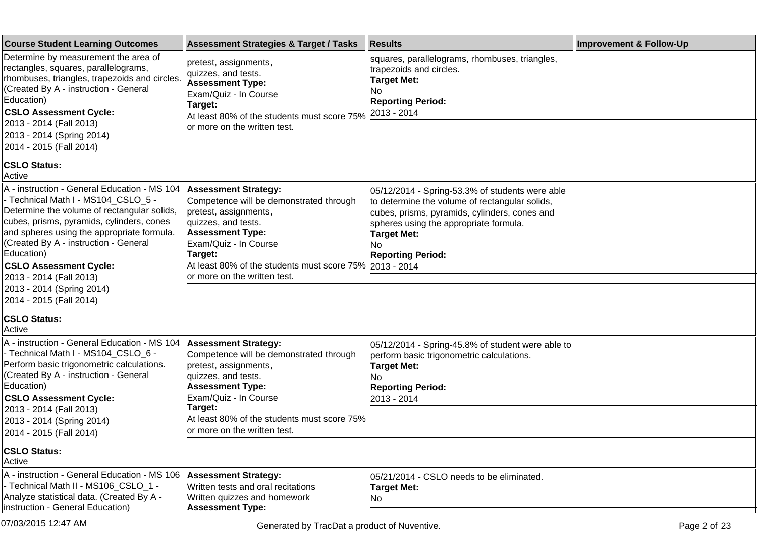| <b>Course Student Learning Outcomes</b>                                                                                                                                                                                                                                                                                                                                                                  | <b>Assessment Strategies &amp; Target / Tasks</b>                                                                                                                                                                                                                                | <b>Results</b>                                                                                                                                                                                                                                        | <b>Improvement &amp; Follow-Up</b> |
|----------------------------------------------------------------------------------------------------------------------------------------------------------------------------------------------------------------------------------------------------------------------------------------------------------------------------------------------------------------------------------------------------------|----------------------------------------------------------------------------------------------------------------------------------------------------------------------------------------------------------------------------------------------------------------------------------|-------------------------------------------------------------------------------------------------------------------------------------------------------------------------------------------------------------------------------------------------------|------------------------------------|
| Determine by measurement the area of<br>rectangles, squares, parallelograms,<br>rhombuses, triangles, trapezoids and circles.<br>(Created By A - instruction - General<br>Education)<br><b>CSLO Assessment Cycle:</b><br>2013 - 2014 (Fall 2013)<br>2013 - 2014 (Spring 2014)<br>2014 - 2015 (Fall 2014)                                                                                                 | pretest, assignments,<br>quizzes, and tests.<br><b>Assessment Type:</b><br>Exam/Quiz - In Course<br>Target:<br>At least 80% of the students must score 75%<br>or more on the written test.                                                                                       | squares, parallelograms, rhombuses, triangles,<br>trapezoids and circles.<br><b>Target Met:</b><br>No<br><b>Reporting Period:</b><br>2013 - 2014                                                                                                      |                                    |
| <b>CSLO Status:</b><br><b>Active</b>                                                                                                                                                                                                                                                                                                                                                                     |                                                                                                                                                                                                                                                                                  |                                                                                                                                                                                                                                                       |                                    |
| A - instruction - General Education - MS 104<br>- Technical Math I - MS104_CSLO_5 -<br>Determine the volume of rectangular solids,<br>cubes, prisms, pyramids, cylinders, cones<br>and spheres using the appropriate formula.<br>(Created By A - instruction - General<br>Education)<br><b>CSLO Assessment Cycle:</b><br>2013 - 2014 (Fall 2013)<br>2013 - 2014 (Spring 2014)<br>2014 - 2015 (Fall 2014) | <b>Assessment Strategy:</b><br>Competence will be demonstrated through<br>pretest, assignments,<br>quizzes, and tests.<br><b>Assessment Type:</b><br>Exam/Quiz - In Course<br>Target:<br>At least 80% of the students must score 75% 2013 - 2014<br>or more on the written test. | 05/12/2014 - Spring-53.3% of students were able<br>to determine the volume of rectangular solids,<br>cubes, prisms, pyramids, cylinders, cones and<br>spheres using the appropriate formula.<br><b>Target Met:</b><br>No.<br><b>Reporting Period:</b> |                                    |
| <b>CSLO Status:</b><br>Active                                                                                                                                                                                                                                                                                                                                                                            |                                                                                                                                                                                                                                                                                  |                                                                                                                                                                                                                                                       |                                    |
| A - instruction - General Education - MS 104<br>- Technical Math I - MS104_CSLO_6 -<br>Perform basic trigonometric calculations.<br>(Created By A - instruction - General<br>Education)<br><b>CSLO Assessment Cycle:</b><br>2013 - 2014 (Fall 2013)<br>2013 - 2014 (Spring 2014)<br>2014 - 2015 (Fall 2014)                                                                                              | <b>Assessment Strategy:</b><br>Competence will be demonstrated through<br>pretest, assignments,<br>quizzes, and tests.<br><b>Assessment Type:</b><br>Exam/Quiz - In Course<br>Target:<br>At least 80% of the students must score 75%<br>or more on the written test.             | 05/12/2014 - Spring-45.8% of student were able to<br>perform basic trigonometric calculations.<br><b>Target Met:</b><br>No<br><b>Reporting Period:</b><br>2013 - 2014                                                                                 |                                    |
| <b>CSLO Status:</b><br>Active                                                                                                                                                                                                                                                                                                                                                                            |                                                                                                                                                                                                                                                                                  |                                                                                                                                                                                                                                                       |                                    |
| A - instruction - General Education - MS 106<br>- Technical Math II - MS106 CSLO 1 -<br>Analyze statistical data. (Created By A -<br>instruction - General Education)                                                                                                                                                                                                                                    | <b>Assessment Strategy:</b><br>Written tests and oral recitations<br>Written guizzes and homework<br><b>Assessment Type:</b>                                                                                                                                                     | 05/21/2014 - CSLO needs to be eliminated.<br><b>Target Met:</b><br>No                                                                                                                                                                                 |                                    |
| 07/03/2015 12:47 AM                                                                                                                                                                                                                                                                                                                                                                                      | Generated by TracDat a product of Nuventive.                                                                                                                                                                                                                                     |                                                                                                                                                                                                                                                       | Page 2 of 23                       |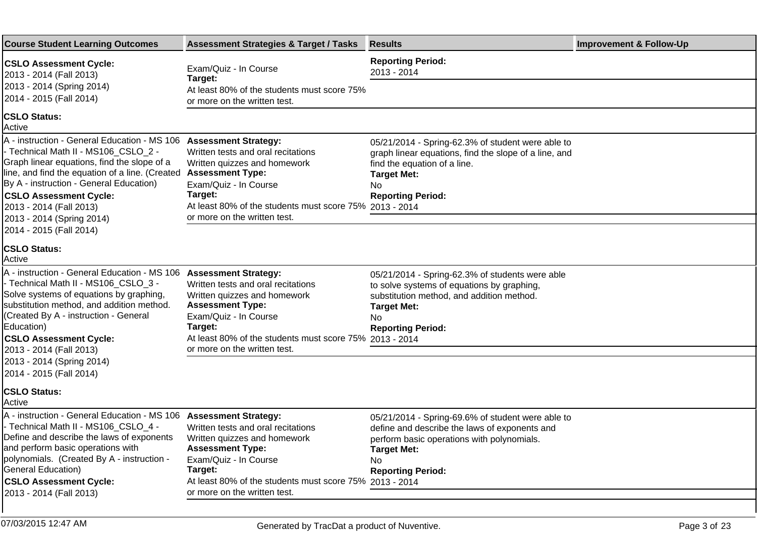| <b>Course Student Learning Outcomes</b>                                                                                                                                                                                                                                                                                    | <b>Assessment Strategies &amp; Target / Tasks</b>                                                                                                                                                                                                           | <b>Results</b>                                                                                                                                                                                           | <b>Improvement &amp; Follow-Up</b> |
|----------------------------------------------------------------------------------------------------------------------------------------------------------------------------------------------------------------------------------------------------------------------------------------------------------------------------|-------------------------------------------------------------------------------------------------------------------------------------------------------------------------------------------------------------------------------------------------------------|----------------------------------------------------------------------------------------------------------------------------------------------------------------------------------------------------------|------------------------------------|
| <b>CSLO Assessment Cycle:</b><br>2013 - 2014 (Fall 2013)<br>2013 - 2014 (Spring 2014)                                                                                                                                                                                                                                      | Exam/Quiz - In Course<br>Target:                                                                                                                                                                                                                            | <b>Reporting Period:</b><br>2013 - 2014                                                                                                                                                                  |                                    |
| 2014 - 2015 (Fall 2014)                                                                                                                                                                                                                                                                                                    | At least 80% of the students must score 75%<br>or more on the written test.                                                                                                                                                                                 |                                                                                                                                                                                                          |                                    |
| <b>CSLO Status:</b><br>Active                                                                                                                                                                                                                                                                                              |                                                                                                                                                                                                                                                             |                                                                                                                                                                                                          |                                    |
| A - instruction - General Education - MS 106<br>- Technical Math II - MS106_CSLO_2 -<br>Graph linear equations, find the slope of a<br>line, and find the equation of a line. (Created<br>By A - instruction - General Education)<br><b>CSLO Assessment Cycle:</b><br>2013 - 2014 (Fall 2013)<br>2013 - 2014 (Spring 2014) | <b>Assessment Strategy:</b><br>Written tests and oral recitations<br>Written quizzes and homework<br><b>Assessment Type:</b><br>Exam/Quiz - In Course<br>Target:<br>At least 80% of the students must score 75% 2013 - 2014<br>or more on the written test. | 05/21/2014 - Spring-62.3% of student were able to<br>graph linear equations, find the slope of a line, and<br>find the equation of a line.<br><b>Target Met:</b><br>No<br><b>Reporting Period:</b>       |                                    |
| 2014 - 2015 (Fall 2014)<br><b>ICSLO Status:</b><br>Active                                                                                                                                                                                                                                                                  |                                                                                                                                                                                                                                                             |                                                                                                                                                                                                          |                                    |
| A - instruction - General Education - MS 106<br>- Technical Math II - MS106 CSLO 3 -<br>Solve systems of equations by graphing,<br>substitution method, and addition method.<br>(Created By A - instruction - General<br>Education)<br><b>CSLO Assessment Cycle:</b>                                                       | <b>Assessment Strategy:</b><br>Written tests and oral recitations<br>Written quizzes and homework<br><b>Assessment Type:</b><br>Exam/Quiz - In Course<br>Target:<br>At least 80% of the students must score 75% 2013 - 2014                                 | 05/21/2014 - Spring-62.3% of students were able<br>to solve systems of equations by graphing,<br>substitution method, and addition method.<br><b>Target Met:</b><br>No<br><b>Reporting Period:</b>       |                                    |
| 2013 - 2014 (Fall 2013)<br>2013 - 2014 (Spring 2014)<br>2014 - 2015 (Fall 2014)                                                                                                                                                                                                                                            | or more on the written test.                                                                                                                                                                                                                                |                                                                                                                                                                                                          |                                    |
| <b>CSLO Status:</b><br>Active                                                                                                                                                                                                                                                                                              |                                                                                                                                                                                                                                                             |                                                                                                                                                                                                          |                                    |
| A - instruction - General Education - MS 106 Assessment Strategy:<br>- Technical Math II - MS106_CSLO_4 -<br>Define and describe the laws of exponents<br>and perform basic operations with<br>polynomials. (Created By A - instruction -<br>General Education)                                                            | Written tests and oral recitations<br>Written quizzes and homework<br><b>Assessment Type:</b><br>Exam/Quiz - In Course<br>Target:                                                                                                                           | 05/21/2014 - Spring-69.6% of student were able to<br>define and describe the laws of exponents and<br>perform basic operations with polynomials.<br><b>Target Met:</b><br>No<br><b>Reporting Period:</b> |                                    |
| <b>CSLO Assessment Cycle:</b><br>2013 - 2014 (Fall 2013)                                                                                                                                                                                                                                                                   | At least 80% of the students must score 75% 2013 - 2014<br>or more on the written test.                                                                                                                                                                     |                                                                                                                                                                                                          |                                    |
|                                                                                                                                                                                                                                                                                                                            |                                                                                                                                                                                                                                                             |                                                                                                                                                                                                          |                                    |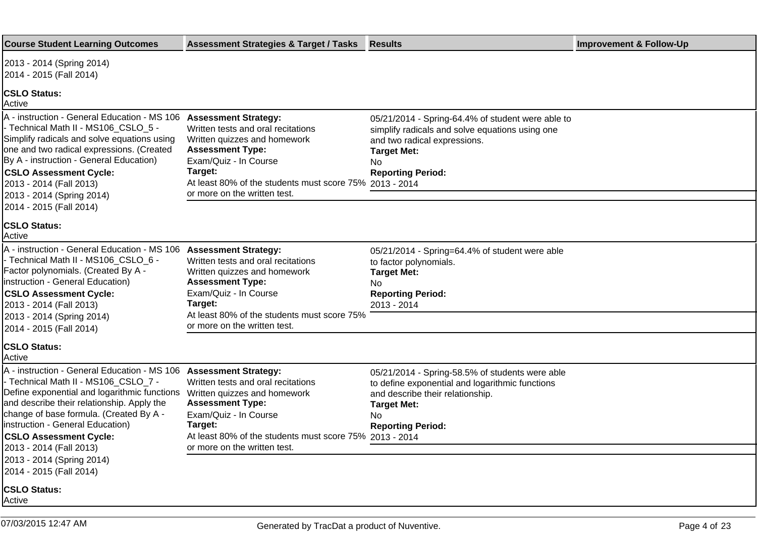| <b>Course Student Learning Outcomes</b>                                                                                                                                                                                                                                                                                                                                                                     | <b>Assessment Strategies &amp; Target / Tasks</b>                                                                                                                                                                            | <b>Results</b>                                                                                                                                                                                  | <b>Improvement &amp; Follow-Up</b> |
|-------------------------------------------------------------------------------------------------------------------------------------------------------------------------------------------------------------------------------------------------------------------------------------------------------------------------------------------------------------------------------------------------------------|------------------------------------------------------------------------------------------------------------------------------------------------------------------------------------------------------------------------------|-------------------------------------------------------------------------------------------------------------------------------------------------------------------------------------------------|------------------------------------|
| 2013 - 2014 (Spring 2014)<br>2014 - 2015 (Fall 2014)                                                                                                                                                                                                                                                                                                                                                        |                                                                                                                                                                                                                              |                                                                                                                                                                                                 |                                    |
| <b>CSLO Status:</b><br>Active                                                                                                                                                                                                                                                                                                                                                                               |                                                                                                                                                                                                                              |                                                                                                                                                                                                 |                                    |
| A - instruction - General Education - MS 106 Assessment Strategy:<br>- Technical Math II - MS106_CSLO_5 -<br>Simplify radicals and solve equations using<br>one and two radical expressions. (Created<br>By A - instruction - General Education)<br><b>CSLO Assessment Cycle:</b><br>2013 - 2014 (Fall 2013)<br>2013 - 2014 (Spring 2014)                                                                   | Written tests and oral recitations<br>Written quizzes and homework<br><b>Assessment Type:</b><br>Exam/Quiz - In Course<br>Target:<br>At least 80% of the students must score 75% 2013 - 2014<br>or more on the written test. | 05/21/2014 - Spring-64.4% of student were able to<br>simplify radicals and solve equations using one<br>and two radical expressions.<br><b>Target Met:</b><br>No<br><b>Reporting Period:</b>    |                                    |
| 2014 - 2015 (Fall 2014)<br><b>CSLO Status:</b><br>Active                                                                                                                                                                                                                                                                                                                                                    |                                                                                                                                                                                                                              |                                                                                                                                                                                                 |                                    |
| A - instruction - General Education - MS 106 Assessment Strategy:<br>- Technical Math II - MS106_CSLO_6 -<br>Factor polynomials. (Created By A -<br>linstruction - General Education)<br><b>CSLO Assessment Cycle:</b><br>2013 - 2014 (Fall 2013)<br>2013 - 2014 (Spring 2014)<br>2014 - 2015 (Fall 2014)                                                                                                   | Written tests and oral recitations<br>Written quizzes and homework<br><b>Assessment Type:</b><br>Exam/Quiz - In Course<br>Target:<br>At least 80% of the students must score 75%<br>or more on the written test.             | 05/21/2014 - Spring=64.4% of student were able<br>to factor polynomials.<br><b>Target Met:</b><br>No.<br><b>Reporting Period:</b><br>2013 - 2014                                                |                                    |
| <b>CSLO Status:</b><br>Active                                                                                                                                                                                                                                                                                                                                                                               |                                                                                                                                                                                                                              |                                                                                                                                                                                                 |                                    |
| A - instruction - General Education - MS 106 Assessment Strategy:<br>- Technical Math II - MS106_CSLO_7 -<br>Define exponential and logarithmic functions<br>and describe their relationship. Apply the<br>change of base formula. (Created By A -<br>linstruction - General Education)<br><b>CSLO Assessment Cycle:</b><br>2013 - 2014 (Fall 2013)<br>2013 - 2014 (Spring 2014)<br>2014 - 2015 (Fall 2014) | Written tests and oral recitations<br>Written quizzes and homework<br><b>Assessment Type:</b><br>Exam/Quiz - In Course<br>Target:<br>At least 80% of the students must score 75% 2013 - 2014<br>or more on the written test. | 05/21/2014 - Spring-58.5% of students were able<br>to define exponential and logarithmic functions<br>and describe their relationship.<br><b>Target Met:</b><br>No.<br><b>Reporting Period:</b> |                                    |
| <b>CSLO Status:</b><br>Active                                                                                                                                                                                                                                                                                                                                                                               |                                                                                                                                                                                                                              |                                                                                                                                                                                                 |                                    |
|                                                                                                                                                                                                                                                                                                                                                                                                             |                                                                                                                                                                                                                              |                                                                                                                                                                                                 |                                    |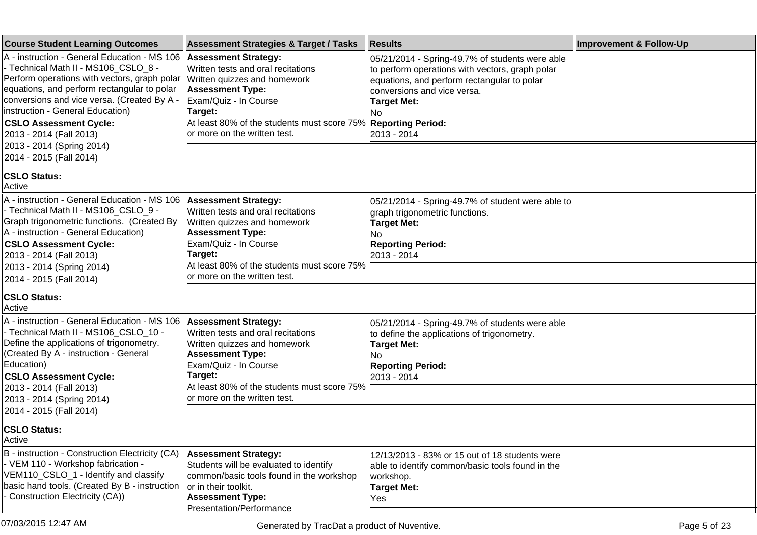| <b>Course Student Learning Outcomes</b>                                                                                                                                                                                                                                                                                                                                                     | <b>Assessment Strategies &amp; Target / Tasks</b>                                                                                                                                                                                                                 | <b>Results</b>                                                                                                                                                                                                               | <b>Improvement &amp; Follow-Up</b> |
|---------------------------------------------------------------------------------------------------------------------------------------------------------------------------------------------------------------------------------------------------------------------------------------------------------------------------------------------------------------------------------------------|-------------------------------------------------------------------------------------------------------------------------------------------------------------------------------------------------------------------------------------------------------------------|------------------------------------------------------------------------------------------------------------------------------------------------------------------------------------------------------------------------------|------------------------------------|
| A - instruction - General Education - MS 106<br>- Technical Math II - MS106_CSLO_8 -<br>Perform operations with vectors, graph polar<br>equations, and perform rectangular to polar<br>conversions and vice versa. (Created By A -<br>linstruction - General Education)<br><b>CSLO Assessment Cycle:</b><br>2013 - 2014 (Fall 2013)<br>2013 - 2014 (Spring 2014)<br>2014 - 2015 (Fall 2014) | <b>Assessment Strategy:</b><br>Written tests and oral recitations<br>Written quizzes and homework<br><b>Assessment Type:</b><br>Exam/Quiz - In Course<br>Target:<br>At least 80% of the students must score 75% Reporting Period:<br>or more on the written test. | 05/21/2014 - Spring-49.7% of students were able<br>to perform operations with vectors, graph polar<br>equations, and perform rectangular to polar<br>conversions and vice versa.<br><b>Target Met:</b><br>No.<br>2013 - 2014 |                                    |
| <b>CSLO Status:</b><br>Active                                                                                                                                                                                                                                                                                                                                                               |                                                                                                                                                                                                                                                                   |                                                                                                                                                                                                                              |                                    |
| A - instruction - General Education - MS 106<br>- Technical Math II - MS106_CSLO_9 -<br>Graph trigonometric functions. (Created By<br>A - instruction - General Education)<br><b>CSLO Assessment Cycle:</b><br>2013 - 2014 (Fall 2013)<br>2013 - 2014 (Spring 2014)<br>2014 - 2015 (Fall 2014)                                                                                              | <b>Assessment Strategy:</b><br>Written tests and oral recitations<br>Written quizzes and homework<br><b>Assessment Type:</b><br>Exam/Quiz - In Course<br>Target:<br>At least 80% of the students must score 75%<br>or more on the written test.                   | 05/21/2014 - Spring-49.7% of student were able to<br>graph trigonometric functions.<br><b>Target Met:</b><br>No.<br><b>Reporting Period:</b><br>2013 - 2014                                                                  |                                    |
| <b>CSLO Status:</b><br>Active                                                                                                                                                                                                                                                                                                                                                               |                                                                                                                                                                                                                                                                   |                                                                                                                                                                                                                              |                                    |
| A - instruction - General Education - MS 106<br>- Technical Math II - MS106_CSLO_10 -<br>Define the applications of trigonometry.<br>(Created By A - instruction - General<br>Education)<br><b>CSLO Assessment Cycle:</b><br>2013 - 2014 (Fall 2013)<br>2013 - 2014 (Spring 2014)<br>2014 - 2015 (Fall 2014)                                                                                | <b>Assessment Strategy:</b><br>Written tests and oral recitations<br>Written quizzes and homework<br><b>Assessment Type:</b><br>Exam/Quiz - In Course<br>Target:<br>At least 80% of the students must score 75%<br>or more on the written test.                   | 05/21/2014 - Spring-49.7% of students were able<br>to define the applications of trigonometry.<br><b>Target Met:</b><br>No.<br><b>Reporting Period:</b><br>2013 - 2014                                                       |                                    |
| <b>CSLO Status:</b><br><b>Active</b>                                                                                                                                                                                                                                                                                                                                                        |                                                                                                                                                                                                                                                                   |                                                                                                                                                                                                                              |                                    |
| B - instruction - Construction Electricity (CA)<br>- VEM 110 - Workshop fabrication -<br>VEM110_CSLO_1 - Identify and classify<br>basic hand tools. (Created By B - instruction<br>Construction Electricity (CA))                                                                                                                                                                           | <b>Assessment Strategy:</b><br>Students will be evaluated to identify<br>common/basic tools found in the workshop<br>or in their toolkit.<br><b>Assessment Type:</b><br>Presentation/Performance                                                                  | 12/13/2013 - 83% or 15 out of 18 students were<br>able to identify common/basic tools found in the<br>workshop.<br><b>Target Met:</b><br>Yes                                                                                 |                                    |
| 07/03/2015 12:47 AM                                                                                                                                                                                                                                                                                                                                                                         | Generated by TracDat a product of Nuventive.                                                                                                                                                                                                                      |                                                                                                                                                                                                                              | Page 5 of 23                       |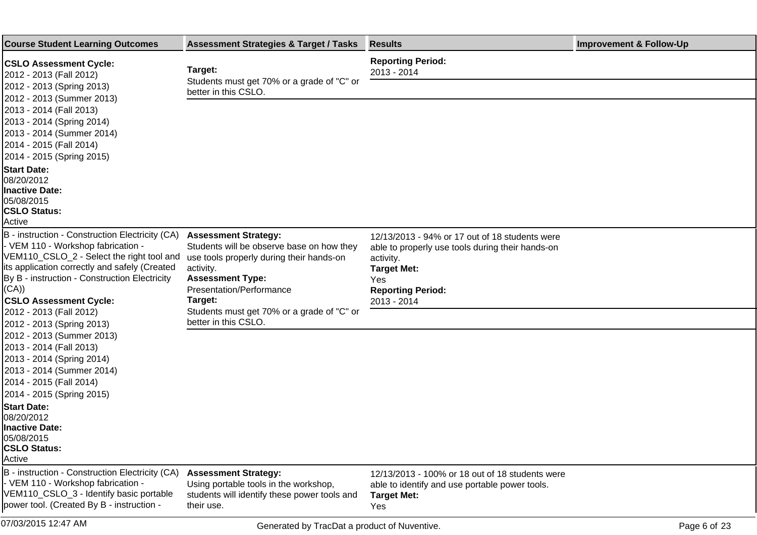| <b>Course Student Learning Outcomes</b>                                                                                                                                                                                                                                        | <b>Assessment Strategies &amp; Target / Tasks</b>                                                                                                                                                   | <b>Results</b>                                                                                                                                                                          | <b>Improvement &amp; Follow-Up</b> |
|--------------------------------------------------------------------------------------------------------------------------------------------------------------------------------------------------------------------------------------------------------------------------------|-----------------------------------------------------------------------------------------------------------------------------------------------------------------------------------------------------|-----------------------------------------------------------------------------------------------------------------------------------------------------------------------------------------|------------------------------------|
| <b>CSLO Assessment Cycle:</b><br>2012 - 2013 (Fall 2012)                                                                                                                                                                                                                       | Target:<br>Students must get 70% or a grade of "C" or                                                                                                                                               | <b>Reporting Period:</b><br>2013 - 2014                                                                                                                                                 |                                    |
| 2012 - 2013 (Spring 2013)                                                                                                                                                                                                                                                      | better in this CSLO.                                                                                                                                                                                |                                                                                                                                                                                         |                                    |
| 2012 - 2013 (Summer 2013)<br>2013 - 2014 (Fall 2013)<br>2013 - 2014 (Spring 2014)<br>2013 - 2014 (Summer 2014)<br>2014 - 2015 (Fall 2014)<br>2014 - 2015 (Spring 2015)                                                                                                         |                                                                                                                                                                                                     |                                                                                                                                                                                         |                                    |
| <b>Start Date:</b><br>08/20/2012<br><b>Inactive Date:</b><br>05/08/2015<br><b>CSLO Status:</b><br>Active                                                                                                                                                                       |                                                                                                                                                                                                     |                                                                                                                                                                                         |                                    |
| B - instruction - Construction Electricity (CA)<br>- VEM 110 - Workshop fabrication -<br>VEM110_CSLO_2 - Select the right tool and<br>its application correctly and safely (Created<br>By B - instruction - Construction Electricity<br>(CA))<br><b>CSLO Assessment Cycle:</b> | <b>Assessment Strategy:</b><br>Students will be observe base on how they<br>use tools properly during their hands-on<br>activity.<br><b>Assessment Type:</b><br>Presentation/Performance<br>Target: | 12/13/2013 - 94% or 17 out of 18 students were<br>able to properly use tools during their hands-on<br>activity.<br><b>Target Met:</b><br>Yes<br><b>Reporting Period:</b><br>2013 - 2014 |                                    |
| 2012 - 2013 (Fall 2012)<br>2012 - 2013 (Spring 2013)                                                                                                                                                                                                                           | Students must get 70% or a grade of "C" or<br>better in this CSLO.                                                                                                                                  |                                                                                                                                                                                         |                                    |
| 2012 - 2013 (Summer 2013)<br>2013 - 2014 (Fall 2013)<br>2013 - 2014 (Spring 2014)<br>2013 - 2014 (Summer 2014)<br>2014 - 2015 (Fall 2014)<br>2014 - 2015 (Spring 2015)                                                                                                         |                                                                                                                                                                                                     |                                                                                                                                                                                         |                                    |
| <b>Start Date:</b><br>08/20/2012<br><b>Inactive Date:</b><br>05/08/2015<br><b>CSLO Status:</b><br>Active                                                                                                                                                                       |                                                                                                                                                                                                     |                                                                                                                                                                                         |                                    |
| B - instruction - Construction Electricity (CA)<br>- VEM 110 - Workshop fabrication -<br>VEM110_CSLO_3 - Identify basic portable<br>power tool. (Created By B - instruction -                                                                                                  | <b>Assessment Strategy:</b><br>Using portable tools in the workshop,<br>students will identify these power tools and<br>their use.                                                                  | 12/13/2013 - 100% or 18 out of 18 students were<br>able to identify and use portable power tools.<br><b>Target Met:</b><br>Yes                                                          |                                    |
| 07/03/2015 12:47 AM                                                                                                                                                                                                                                                            | Generated by TracDat a product of Nuventive.                                                                                                                                                        |                                                                                                                                                                                         | Page 6 of 23                       |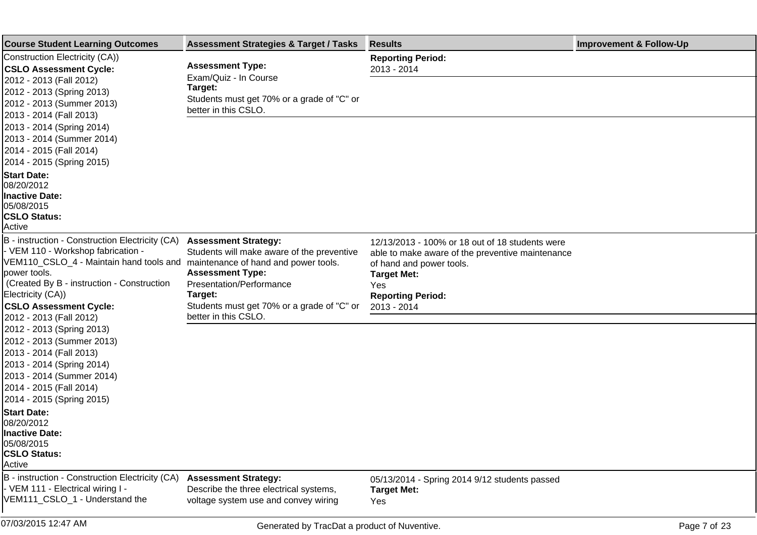| <b>Course Student Learning Outcomes</b>                                                                                                                                                                                                                  | <b>Assessment Strategies &amp; Target / Tasks</b>                                                                                           | <b>Results</b>                                                                                                                                                                           | <b>Improvement &amp; Follow-Up</b> |
|----------------------------------------------------------------------------------------------------------------------------------------------------------------------------------------------------------------------------------------------------------|---------------------------------------------------------------------------------------------------------------------------------------------|------------------------------------------------------------------------------------------------------------------------------------------------------------------------------------------|------------------------------------|
| Construction Electricity (CA))<br><b>CSLO Assessment Cycle:</b>                                                                                                                                                                                          | <b>Assessment Type:</b>                                                                                                                     | <b>Reporting Period:</b><br>2013 - 2014                                                                                                                                                  |                                    |
| 2012 - 2013 (Fall 2012)<br>2012 - 2013 (Spring 2013)<br>2012 - 2013 (Summer 2013)<br>2013 - 2014 (Fall 2013)                                                                                                                                             | Exam/Quiz - In Course<br>Target:<br>Students must get 70% or a grade of "C" or<br>better in this CSLO.                                      |                                                                                                                                                                                          |                                    |
| 2013 - 2014 (Spring 2014)<br>2013 - 2014 (Summer 2014)<br>2014 - 2015 (Fall 2014)<br>2014 - 2015 (Spring 2015)                                                                                                                                           |                                                                                                                                             |                                                                                                                                                                                          |                                    |
| <b>Start Date:</b><br>08/20/2012<br><b>Inactive Date:</b><br>05/08/2015<br><b>CSLO Status:</b><br>Active                                                                                                                                                 |                                                                                                                                             |                                                                                                                                                                                          |                                    |
| B - instruction - Construction Electricity (CA)<br>- VEM 110 - Workshop fabrication -<br>VEM110_CSLO_4 - Maintain hand tools and maintenance of hand and power tools.<br>power tools.<br>(Created By B - instruction - Construction<br>Electricity (CA)) | <b>Assessment Strategy:</b><br>Students will make aware of the preventive<br><b>Assessment Type:</b><br>Presentation/Performance<br>Target: | 12/13/2013 - 100% or 18 out of 18 students were<br>able to make aware of the preventive maintenance<br>of hand and power tools.<br><b>Target Met:</b><br>Yes<br><b>Reporting Period:</b> |                                    |
| <b>CSLO Assessment Cycle:</b><br>2012 - 2013 (Fall 2012)                                                                                                                                                                                                 | Students must get 70% or a grade of "C" or<br>better in this CSLO.                                                                          | 2013 - 2014                                                                                                                                                                              |                                    |
| 2012 - 2013 (Spring 2013)<br>2012 - 2013 (Summer 2013)<br>2013 - 2014 (Fall 2013)<br>2013 - 2014 (Spring 2014)<br>2013 - 2014 (Summer 2014)                                                                                                              |                                                                                                                                             |                                                                                                                                                                                          |                                    |
| 2014 - 2015 (Fall 2014)                                                                                                                                                                                                                                  |                                                                                                                                             |                                                                                                                                                                                          |                                    |
| 2014 - 2015 (Spring 2015)<br><b>Start Date:</b><br>08/20/2012<br><b>Inactive Date:</b><br>05/08/2015<br><b>CSLO Status:</b><br>Active                                                                                                                    |                                                                                                                                             |                                                                                                                                                                                          |                                    |
| B - instruction - Construction Electricity (CA)<br>- VEM 111 - Electrical wiring I -<br>VEM111 CSLO 1 - Understand the                                                                                                                                   | <b>Assessment Strategy:</b><br>Describe the three electrical systems,<br>voltage system use and convey wiring                               | 05/13/2014 - Spring 2014 9/12 students passed<br><b>Target Met:</b><br>Yes                                                                                                               |                                    |
| 07/03/2015 12:47 AM                                                                                                                                                                                                                                      | Generated by TracDat a product of Nuventive.                                                                                                |                                                                                                                                                                                          | Page 7 of 23                       |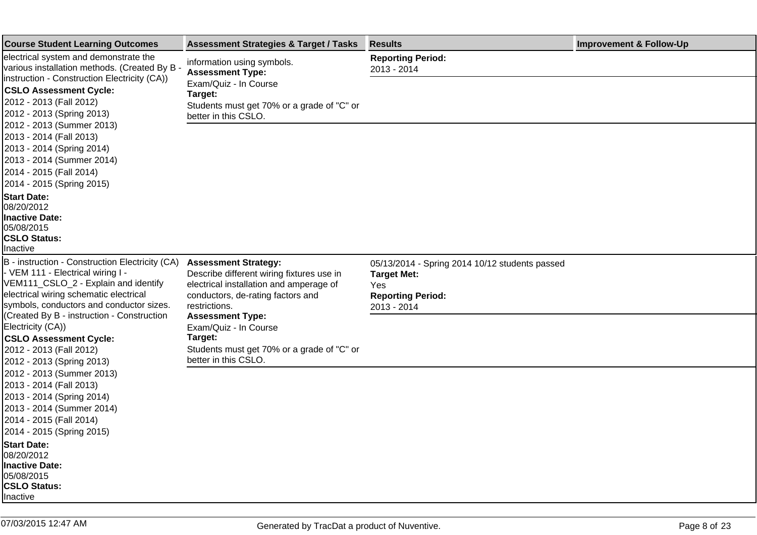| <b>Course Student Learning Outcomes</b>                                                                                                                                                                                                                                                                                                                                                                 | <b>Assessment Strategies &amp; Target / Tasks</b>                                                                                                                         | <b>Results</b>                                                                                                         | <b>Improvement &amp; Follow-Up</b> |
|---------------------------------------------------------------------------------------------------------------------------------------------------------------------------------------------------------------------------------------------------------------------------------------------------------------------------------------------------------------------------------------------------------|---------------------------------------------------------------------------------------------------------------------------------------------------------------------------|------------------------------------------------------------------------------------------------------------------------|------------------------------------|
| electrical system and demonstrate the<br>various installation methods. (Created By B<br>instruction - Construction Electricity (CA))<br><b>CSLO Assessment Cycle:</b><br>2012 - 2013 (Fall 2012)<br>2012 - 2013 (Spring 2013)<br>2012 - 2013 (Summer 2013)<br>2013 - 2014 (Fall 2013)<br>2013 - 2014 (Spring 2014)<br>2013 - 2014 (Summer 2014)<br>2014 - 2015 (Fall 2014)<br>2014 - 2015 (Spring 2015) | information using symbols.<br><b>Assessment Type:</b><br>Exam/Quiz - In Course<br>Target:<br>Students must get 70% or a grade of "C" or                                   | <b>Reporting Period:</b><br>2013 - 2014                                                                                |                                    |
|                                                                                                                                                                                                                                                                                                                                                                                                         | better in this CSLO.                                                                                                                                                      |                                                                                                                        |                                    |
| <b>Start Date:</b><br>08/20/2012<br>Inactive Date:<br>105/08/2015<br><b>CSLO Status:</b><br>Inactive                                                                                                                                                                                                                                                                                                    |                                                                                                                                                                           |                                                                                                                        |                                    |
| B - instruction - Construction Electricity (CA)<br>- VEM 111 - Electrical wiring I -<br>VEM111_CSLO_2 - Explain and identify<br>electrical wiring schematic electrical<br>symbols, conductors and conductor sizes.                                                                                                                                                                                      | <b>Assessment Strategy:</b><br>Describe different wiring fixtures use in<br>electrical installation and amperage of<br>conductors, de-rating factors and<br>restrictions. | 05/13/2014 - Spring 2014 10/12 students passed<br><b>Target Met:</b><br>Yes<br><b>Reporting Period:</b><br>2013 - 2014 |                                    |
| (Created By B - instruction - Construction<br>Electricity (CA))<br><b>CSLO Assessment Cycle:</b><br>2012 - 2013 (Fall 2012)<br>2012 - 2013 (Spring 2013)                                                                                                                                                                                                                                                | <b>Assessment Type:</b><br>Exam/Quiz - In Course<br>Target:<br>Students must get 70% or a grade of "C" or<br>better in this CSLO.                                         |                                                                                                                        |                                    |
| 2012 - 2013 (Summer 2013)<br>2013 - 2014 (Fall 2013)<br>2013 - 2014 (Spring 2014)<br>2013 - 2014 (Summer 2014)<br>2014 - 2015 (Fall 2014)<br>2014 - 2015 (Spring 2015)                                                                                                                                                                                                                                  |                                                                                                                                                                           |                                                                                                                        |                                    |
| <b>Start Date:</b><br>08/20/2012<br><b>Inactive Date:</b><br>05/08/2015<br><b>CSLO Status:</b><br>Inactive                                                                                                                                                                                                                                                                                              |                                                                                                                                                                           |                                                                                                                        |                                    |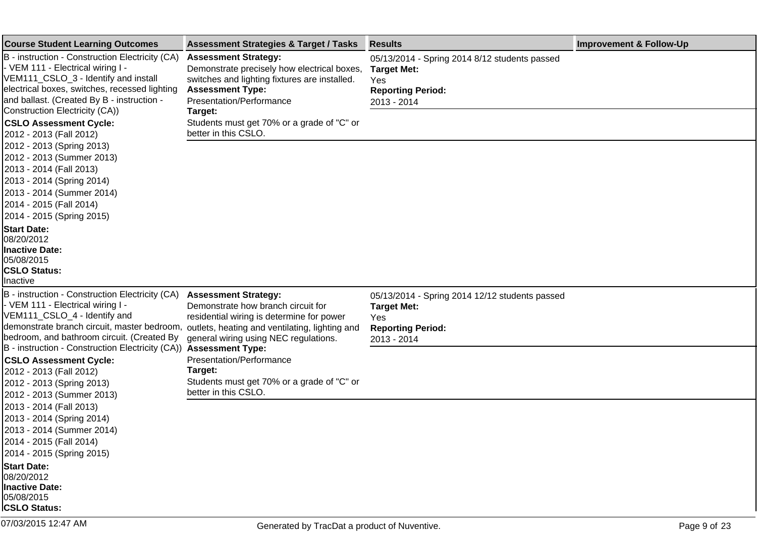| <b>Course Student Learning Outcomes</b>                                                                                                                                                                                                                                                | <b>Assessment Strategies &amp; Target / Tasks</b>                                                                                                                                                         | <b>Results</b>                                                                                                         | <b>Improvement &amp; Follow-Up</b> |
|----------------------------------------------------------------------------------------------------------------------------------------------------------------------------------------------------------------------------------------------------------------------------------------|-----------------------------------------------------------------------------------------------------------------------------------------------------------------------------------------------------------|------------------------------------------------------------------------------------------------------------------------|------------------------------------|
| B - instruction - Construction Electricity (CA)<br>- VEM 111 - Electrical wiring I -<br>VEM111_CSLO_3 - Identify and install<br>electrical boxes, switches, recessed lighting<br>and ballast. (Created By B - instruction -                                                            | <b>Assessment Strategy:</b><br>Demonstrate precisely how electrical boxes,<br>switches and lighting fixtures are installed.<br><b>Assessment Type:</b><br>Presentation/Performance                        | 05/13/2014 - Spring 2014 8/12 students passed<br><b>Target Met:</b><br>Yes<br><b>Reporting Period:</b><br>2013 - 2014  |                                    |
| Construction Electricity (CA))<br><b>CSLO Assessment Cycle:</b><br>2012 - 2013 (Fall 2012)                                                                                                                                                                                             | Target:<br>Students must get 70% or a grade of "C" or<br>better in this CSLO.                                                                                                                             |                                                                                                                        |                                    |
| 2012 - 2013 (Spring 2013)<br>2012 - 2013 (Summer 2013)<br>2013 - 2014 (Fall 2013)<br>2013 - 2014 (Spring 2014)<br>2013 - 2014 (Summer 2014)<br>2014 - 2015 (Fall 2014)<br>2014 - 2015 (Spring 2015)                                                                                    |                                                                                                                                                                                                           |                                                                                                                        |                                    |
| <b>Start Date:</b><br>08/20/2012<br><b>Inactive Date:</b><br>05/08/2015<br><b>CSLO Status:</b><br><b>Inactive</b>                                                                                                                                                                      |                                                                                                                                                                                                           |                                                                                                                        |                                    |
| B - instruction - Construction Electricity (CA)<br>- VEM 111 - Electrical wiring I -<br>VEM111_CSLO_4 - Identify and<br>demonstrate branch circuit, master bedroom,<br>bedroom, and bathroom circuit. (Created By<br>B - instruction - Construction Electricity (CA)) Assessment Type: | <b>Assessment Strategy:</b><br>Demonstrate how branch circuit for<br>residential wiring is determine for power<br>outlets, heating and ventilating, lighting and<br>general wiring using NEC regulations. | 05/13/2014 - Spring 2014 12/12 students passed<br><b>Target Met:</b><br>Yes<br><b>Reporting Period:</b><br>2013 - 2014 |                                    |
| <b>CSLO Assessment Cycle:</b><br>2012 - 2013 (Fall 2012)<br>2012 - 2013 (Spring 2013)<br>2012 - 2013 (Summer 2013)                                                                                                                                                                     | Presentation/Performance<br>Target:<br>Students must get 70% or a grade of "C" or<br>better in this CSLO.                                                                                                 |                                                                                                                        |                                    |
| 2013 - 2014 (Fall 2013)<br>2013 - 2014 (Spring 2014)<br>2013 - 2014 (Summer 2014)<br>2014 - 2015 (Fall 2014)<br>2014 - 2015 (Spring 2015)                                                                                                                                              |                                                                                                                                                                                                           |                                                                                                                        |                                    |
| <b>Start Date:</b><br>08/20/2012<br>Inactive Date:<br>05/08/2015<br><b>CSLO Status:</b>                                                                                                                                                                                                |                                                                                                                                                                                                           |                                                                                                                        |                                    |
| 07/03/2015 12:47 AM                                                                                                                                                                                                                                                                    | Generated by TracDat a product of Nuventive.                                                                                                                                                              |                                                                                                                        | Page 9 of 23                       |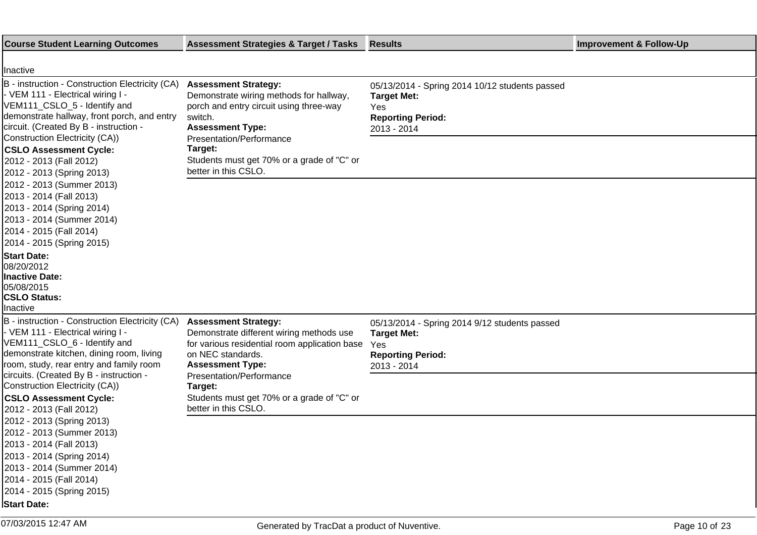| <b>Course Student Learning Outcomes</b>                                                                                                                                                                                                                                                                                                  | <b>Assessment Strategies &amp; Target / Tasks</b>                                                                                                                                                                                                                    | <b>Results</b>                                                                                                         | <b>Improvement &amp; Follow-Up</b> |
|------------------------------------------------------------------------------------------------------------------------------------------------------------------------------------------------------------------------------------------------------------------------------------------------------------------------------------------|----------------------------------------------------------------------------------------------------------------------------------------------------------------------------------------------------------------------------------------------------------------------|------------------------------------------------------------------------------------------------------------------------|------------------------------------|
| Inactive                                                                                                                                                                                                                                                                                                                                 |                                                                                                                                                                                                                                                                      |                                                                                                                        |                                    |
| B - instruction - Construction Electricity (CA)<br>- VEM 111 - Electrical wiring I -<br>VEM111_CSLO_5 - Identify and<br>demonstrate hallway, front porch, and entry<br>circuit. (Created By B - instruction -<br>Construction Electricity (CA))<br><b>CSLO Assessment Cycle:</b><br>2012 - 2013 (Fall 2012)<br>2012 - 2013 (Spring 2013) | <b>Assessment Strategy:</b><br>Demonstrate wiring methods for hallway,<br>porch and entry circuit using three-way<br>switch.<br><b>Assessment Type:</b><br>Presentation/Performance<br>Target:<br>Students must get 70% or a grade of "C" or<br>better in this CSLO. | 05/13/2014 - Spring 2014 10/12 students passed<br><b>Target Met:</b><br>Yes<br><b>Reporting Period:</b><br>2013 - 2014 |                                    |
| 2012 - 2013 (Summer 2013)<br>2013 - 2014 (Fall 2013)<br>2013 - 2014 (Spring 2014)<br>2013 - 2014 (Summer 2014)<br>2014 - 2015 (Fall 2014)<br>2014 - 2015 (Spring 2015)                                                                                                                                                                   |                                                                                                                                                                                                                                                                      |                                                                                                                        |                                    |
| <b>Start Date:</b><br>08/20/2012<br><b>Inactive Date:</b><br>05/08/2015<br><b>CSLO Status:</b><br>Inactive                                                                                                                                                                                                                               |                                                                                                                                                                                                                                                                      |                                                                                                                        |                                    |
| B - instruction - Construction Electricity (CA)<br>- VEM 111 - Electrical wiring I -<br>VEM111_CSLO_6 - Identify and<br>demonstrate kitchen, dining room, living<br>room, study, rear entry and family room<br>circuits. (Created By B - instruction -                                                                                   | <b>Assessment Strategy:</b><br>Demonstrate different wiring methods use<br>for various residential room application base<br>on NEC standards.<br><b>Assessment Type:</b><br>Presentation/Performance                                                                 | 05/13/2014 - Spring 2014 9/12 students passed<br><b>Target Met:</b><br>Yes<br><b>Reporting Period:</b><br>2013 - 2014  |                                    |
| Construction Electricity (CA))<br><b>CSLO Assessment Cycle:</b><br>2012 - 2013 (Fall 2012)                                                                                                                                                                                                                                               | Target:<br>Students must get 70% or a grade of "C" or<br>better in this CSLO.                                                                                                                                                                                        |                                                                                                                        |                                    |
| 2012 - 2013 (Spring 2013)<br>2012 - 2013 (Summer 2013)<br>2013 - 2014 (Fall 2013)<br>2013 - 2014 (Spring 2014)<br>2013 - 2014 (Summer 2014)<br>2014 - 2015 (Fall 2014)<br>2014 - 2015 (Spring 2015)<br><b>Start Date:</b>                                                                                                                |                                                                                                                                                                                                                                                                      |                                                                                                                        |                                    |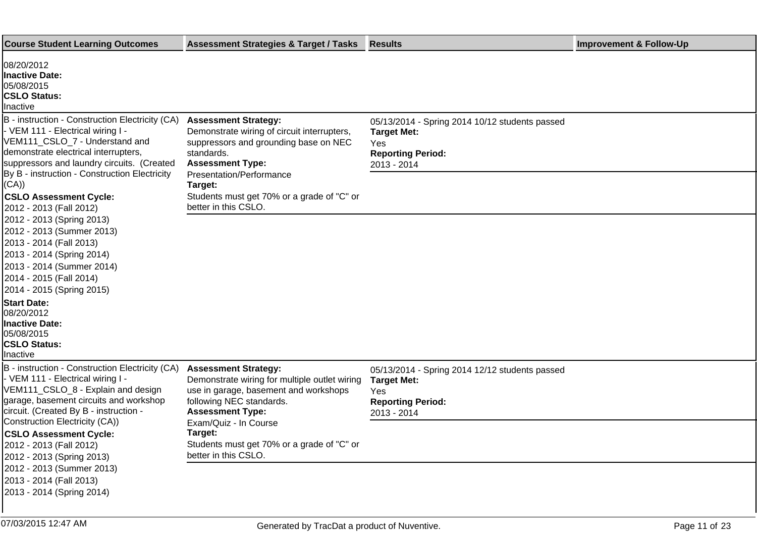| <b>Course Student Learning Outcomes</b>                                                                                                                                                                                                                                                                                                                                                                                        | <b>Assessment Strategies &amp; Target / Tasks</b>                                                                                                                                                   | <b>Results</b>                                                                                                         | <b>Improvement &amp; Follow-Up</b> |
|--------------------------------------------------------------------------------------------------------------------------------------------------------------------------------------------------------------------------------------------------------------------------------------------------------------------------------------------------------------------------------------------------------------------------------|-----------------------------------------------------------------------------------------------------------------------------------------------------------------------------------------------------|------------------------------------------------------------------------------------------------------------------------|------------------------------------|
| 08/20/2012<br>Inactive Date:<br>05/08/2015<br><b>CSLO Status:</b><br>Inactive                                                                                                                                                                                                                                                                                                                                                  |                                                                                                                                                                                                     |                                                                                                                        |                                    |
| B - instruction - Construction Electricity (CA)<br>- VEM 111 - Electrical wiring I -<br>VEM111_CSLO_7 - Understand and<br>demonstrate electrical interrupters,<br>suppressors and laundry circuits. (Created<br>By B - instruction - Construction Electricity<br>(CA))                                                                                                                                                         | <b>Assessment Strategy:</b><br>Demonstrate wiring of circuit interrupters,<br>suppressors and grounding base on NEC<br>standards.<br><b>Assessment Type:</b><br>Presentation/Performance<br>Target: | 05/13/2014 - Spring 2014 10/12 students passed<br><b>Target Met:</b><br>Yes<br><b>Reporting Period:</b><br>2013 - 2014 |                                    |
| <b>CSLO Assessment Cycle:</b><br>2012 - 2013 (Fall 2012)<br>2012 - 2013 (Spring 2013)<br>2012 - 2013 (Summer 2013)<br>2013 - 2014 (Fall 2013)<br>2013 - 2014 (Spring 2014)<br>2013 - 2014 (Summer 2014)<br>2014 - 2015 (Fall 2014)<br>2014 - 2015 (Spring 2015)                                                                                                                                                                | Students must get 70% or a grade of "C" or<br>better in this CSLO.                                                                                                                                  |                                                                                                                        |                                    |
| <b>Start Date:</b><br>08/20/2012<br><b>Inactive Date:</b><br>05/08/2015<br><b>CSLO Status:</b><br>Inactive                                                                                                                                                                                                                                                                                                                     |                                                                                                                                                                                                     |                                                                                                                        |                                    |
| B - instruction - Construction Electricity (CA)<br>- VEM 111 - Electrical wiring I -<br>VEM111_CSLO_8 - Explain and design<br>garage, basement circuits and workshop<br>circuit. (Created By B - instruction -<br>Construction Electricity (CA))<br><b>CSLO Assessment Cycle:</b><br>2012 - 2013 (Fall 2012)<br>2012 - 2013 (Spring 2013)<br>2012 - 2013 (Summer 2013)<br>2013 - 2014 (Fall 2013)<br>2013 - 2014 (Spring 2014) | <b>Assessment Strategy:</b><br>Demonstrate wiring for multiple outlet wiring<br>use in garage, basement and workshops<br>following NEC standards.<br><b>Assessment Type:</b>                        | 05/13/2014 - Spring 2014 12/12 students passed<br><b>Target Met:</b><br>Yes<br><b>Reporting Period:</b><br>2013 - 2014 |                                    |
|                                                                                                                                                                                                                                                                                                                                                                                                                                | Exam/Quiz - In Course<br>Target:<br>Students must get 70% or a grade of "C" or<br>better in this CSLO.                                                                                              |                                                                                                                        |                                    |
|                                                                                                                                                                                                                                                                                                                                                                                                                                |                                                                                                                                                                                                     |                                                                                                                        |                                    |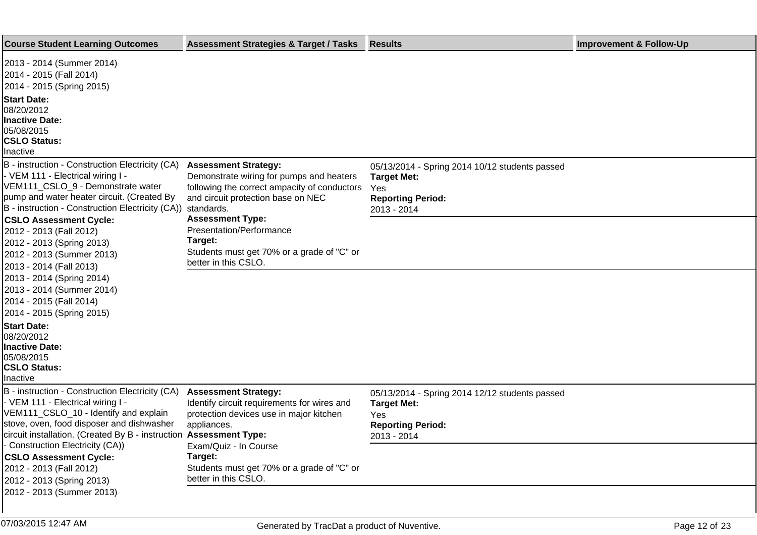| <b>Course Student Learning Outcomes</b>                                                                                                                                                                                                                                            | <b>Assessment Strategies &amp; Target / Tasks</b>                                                                                                                           | <b>Results</b>                                                                                                         | <b>Improvement &amp; Follow-Up</b> |
|------------------------------------------------------------------------------------------------------------------------------------------------------------------------------------------------------------------------------------------------------------------------------------|-----------------------------------------------------------------------------------------------------------------------------------------------------------------------------|------------------------------------------------------------------------------------------------------------------------|------------------------------------|
| 2013 - 2014 (Summer 2014)<br>2014 - 2015 (Fall 2014)<br>2014 - 2015 (Spring 2015)<br><b>Start Date:</b><br>08/20/2012<br><b>Inactive Date:</b><br>05/08/2015<br><b>CSLO Status:</b><br>Inactive                                                                                    |                                                                                                                                                                             |                                                                                                                        |                                    |
| B - instruction - Construction Electricity (CA)<br>- VEM 111 - Electrical wiring I -<br>VEM111_CSLO_9 - Demonstrate water<br>pump and water heater circuit. (Created By<br>B - instruction - Construction Electricity (CA))                                                        | <b>Assessment Strategy:</b><br>Demonstrate wiring for pumps and heaters<br>following the correct ampacity of conductors<br>and circuit protection base on NEC<br>standards. | 05/13/2014 - Spring 2014 10/12 students passed<br><b>Target Met:</b><br>Yes<br><b>Reporting Period:</b><br>2013 - 2014 |                                    |
| <b>CSLO Assessment Cycle:</b><br>2012 - 2013 (Fall 2012)<br>2012 - 2013 (Spring 2013)<br>2012 - 2013 (Summer 2013)<br>2013 - 2014 (Fall 2013)                                                                                                                                      | <b>Assessment Type:</b><br>Presentation/Performance<br>Target:<br>Students must get 70% or a grade of "C" or<br>better in this CSLO.                                        |                                                                                                                        |                                    |
| 2013 - 2014 (Spring 2014)<br>2013 - 2014 (Summer 2014)<br>2014 - 2015 (Fall 2014)<br>2014 - 2015 (Spring 2015)                                                                                                                                                                     |                                                                                                                                                                             |                                                                                                                        |                                    |
| <b>Start Date:</b><br>08/20/2012<br><b>Inactive Date:</b><br>05/08/2015<br><b>CSLO Status:</b><br>Inactive                                                                                                                                                                         |                                                                                                                                                                             |                                                                                                                        |                                    |
| B - instruction - Construction Electricity (CA)<br>- VEM 111 - Electrical wiring I -<br>VEM111_CSLO_10 - Identify and explain<br>stove, oven, food disposer and dishwasher<br>circuit installation. (Created By B - instruction Assessment Type:<br>Construction Electricity (CA)) | <b>Assessment Strategy:</b><br>Identify circuit requirements for wires and<br>protection devices use in major kitchen<br>appliances.                                        | 05/13/2014 - Spring 2014 12/12 students passed<br><b>Target Met:</b><br>Yes<br><b>Reporting Period:</b><br>2013 - 2014 |                                    |
| <b>CSLO Assessment Cycle:</b><br>2012 - 2013 (Fall 2012)<br>2012 - 2013 (Spring 2013)<br>2012 - 2013 (Summer 2013)                                                                                                                                                                 | Exam/Quiz - In Course<br>Target:<br>Students must get 70% or a grade of "C" or<br>better in this CSLO.                                                                      |                                                                                                                        |                                    |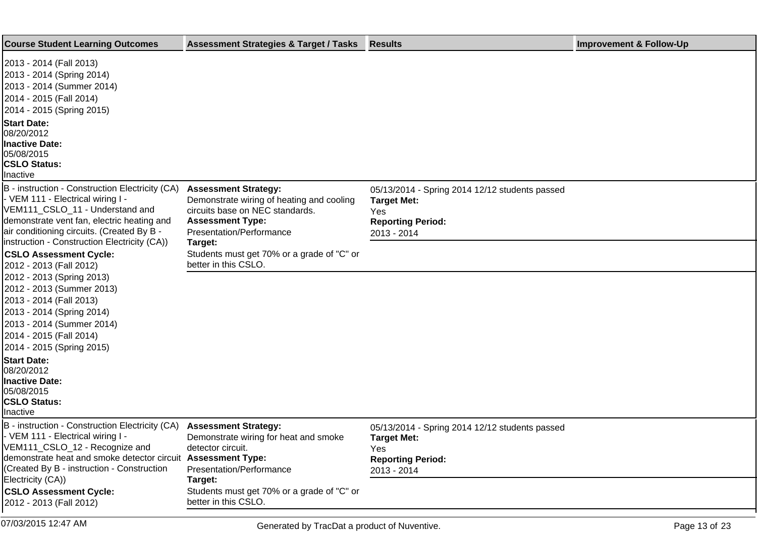| <b>Course Student Learning Outcomes</b>                                                                                                                                                                                                                                                                                                                                                   | <b>Assessment Strategies &amp; Target / Tasks</b>                                                                                                                  | <b>Results</b>                                                                                                         | <b>Improvement &amp; Follow-Up</b> |
|-------------------------------------------------------------------------------------------------------------------------------------------------------------------------------------------------------------------------------------------------------------------------------------------------------------------------------------------------------------------------------------------|--------------------------------------------------------------------------------------------------------------------------------------------------------------------|------------------------------------------------------------------------------------------------------------------------|------------------------------------|
| 2013 - 2014 (Fall 2013)<br>2013 - 2014 (Spring 2014)<br>2013 - 2014 (Summer 2014)<br>2014 - 2015 (Fall 2014)<br>2014 - 2015 (Spring 2015)                                                                                                                                                                                                                                                 |                                                                                                                                                                    |                                                                                                                        |                                    |
| <b>Start Date:</b><br>08/20/2012<br><b>Inactive Date:</b><br>05/08/2015<br><b>CSLO Status:</b><br>Inactive                                                                                                                                                                                                                                                                                |                                                                                                                                                                    |                                                                                                                        |                                    |
| B - instruction - Construction Electricity (CA)<br>- VEM 111 - Electrical wiring I -<br>VEM111 CSLO 11 - Understand and<br>demonstrate vent fan, electric heating and<br>air conditioning circuits. (Created By B -                                                                                                                                                                       | <b>Assessment Strategy:</b><br>Demonstrate wiring of heating and cooling<br>circuits base on NEC standards.<br><b>Assessment Type:</b><br>Presentation/Performance | 05/13/2014 - Spring 2014 12/12 students passed<br><b>Target Met:</b><br>Yes<br><b>Reporting Period:</b><br>2013 - 2014 |                                    |
| Instruction - Construction Electricity (CA))<br><b>CSLO Assessment Cycle:</b><br>2012 - 2013 (Fall 2012)                                                                                                                                                                                                                                                                                  | Target:<br>Students must get 70% or a grade of "C" or<br>better in this CSLO.                                                                                      |                                                                                                                        |                                    |
| 2012 - 2013 (Spring 2013)<br>2012 - 2013 (Summer 2013)<br>2013 - 2014 (Fall 2013)<br>2013 - 2014 (Spring 2014)<br>2013 - 2014 (Summer 2014)<br>2014 - 2015 (Fall 2014)<br>2014 - 2015 (Spring 2015)<br><b>Start Date:</b><br>08/20/2012<br><b>Inactive Date:</b><br>05/08/2015<br><b>CSLO Status:</b><br>Inactive<br>B - instruction - Construction Electricity (CA) Assessment Strategy: |                                                                                                                                                                    |                                                                                                                        |                                    |
| - VEM 111 - Electrical wiring I -<br>VEM111_CSLO_12 - Recognize and<br>demonstrate heat and smoke detector circuit Assessment Type:<br>(Created By B - instruction - Construction<br>Electricity (CA))                                                                                                                                                                                    | Demonstrate wiring for heat and smoke<br>detector circuit.<br>Presentation/Performance<br>Target:                                                                  | 05/13/2014 - Spring 2014 12/12 students passed<br><b>Target Met:</b><br>Yes<br><b>Reporting Period:</b><br>2013 - 2014 |                                    |
| <b>CSLO Assessment Cycle:</b><br>2012 - 2013 (Fall 2012)                                                                                                                                                                                                                                                                                                                                  | Students must get 70% or a grade of "C" or<br>better in this CSLO.                                                                                                 |                                                                                                                        |                                    |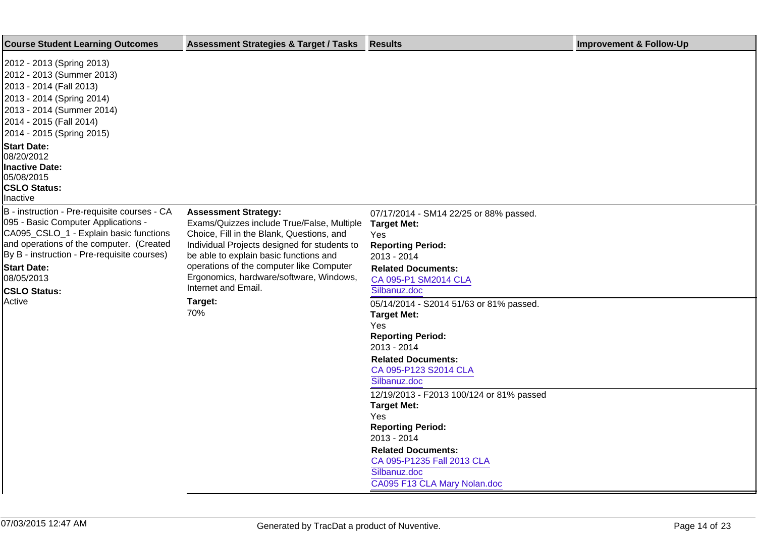| <b>Course Student Learning Outcomes</b>                                                                                                                                                                                                                                             | <b>Assessment Strategies &amp; Target / Tasks</b>                                                                                                                                                                                                                                                                              | <b>Results</b>                                                                                                                                                                                                              | <b>Improvement &amp; Follow-Up</b> |
|-------------------------------------------------------------------------------------------------------------------------------------------------------------------------------------------------------------------------------------------------------------------------------------|--------------------------------------------------------------------------------------------------------------------------------------------------------------------------------------------------------------------------------------------------------------------------------------------------------------------------------|-----------------------------------------------------------------------------------------------------------------------------------------------------------------------------------------------------------------------------|------------------------------------|
| 2012 - 2013 (Spring 2013)<br>2012 - 2013 (Summer 2013)<br>2013 - 2014 (Fall 2013)<br>2013 - 2014 (Spring 2014)<br>2013 - 2014 (Summer 2014)<br>2014 - 2015 (Fall 2014)<br>2014 - 2015 (Spring 2015)                                                                                 |                                                                                                                                                                                                                                                                                                                                |                                                                                                                                                                                                                             |                                    |
| <b>Start Date:</b><br>08/20/2012<br><b>Inactive Date:</b><br>05/08/2015<br><b>CSLO Status:</b><br>Inactive                                                                                                                                                                          |                                                                                                                                                                                                                                                                                                                                |                                                                                                                                                                                                                             |                                    |
| B - instruction - Pre-requisite courses - CA<br>095 - Basic Computer Applications -<br>CA095_CSLO_1 - Explain basic functions<br>and operations of the computer. (Created<br>By B - instruction - Pre-requisite courses)<br><b>Start Date:</b><br>08/05/2013<br><b>CSLO Status:</b> | <b>Assessment Strategy:</b><br>Exams/Quizzes include True/False, Multiple<br>Choice, Fill in the Blank, Questions, and<br>Individual Projects designed for students to<br>be able to explain basic functions and<br>operations of the computer like Computer<br>Ergonomics, hardware/software, Windows,<br>Internet and Email. | 07/17/2014 - SM14 22/25 or 88% passed.<br><b>Target Met:</b><br>Yes<br><b>Reporting Period:</b><br>2013 - 2014<br><b>Related Documents:</b><br>CA 095-P1 SM2014 CLA<br>Silbanuz.doc                                         |                                    |
| Active                                                                                                                                                                                                                                                                              | Target:<br>70%                                                                                                                                                                                                                                                                                                                 | 05/14/2014 - S2014 51/63 or 81% passed.<br><b>Target Met:</b><br>Yes<br><b>Reporting Period:</b><br>2013 - 2014<br><b>Related Documents:</b><br>CA 095-P123 S2014 CLA<br>Silbanuz.doc                                       |                                    |
|                                                                                                                                                                                                                                                                                     |                                                                                                                                                                                                                                                                                                                                | 12/19/2013 - F2013 100/124 or 81% passed<br><b>Target Met:</b><br>Yes<br><b>Reporting Period:</b><br>2013 - 2014<br><b>Related Documents:</b><br>CA 095-P1235 Fall 2013 CLA<br>Silbanuz.doc<br>CA095 F13 CLA Mary Nolan.doc |                                    |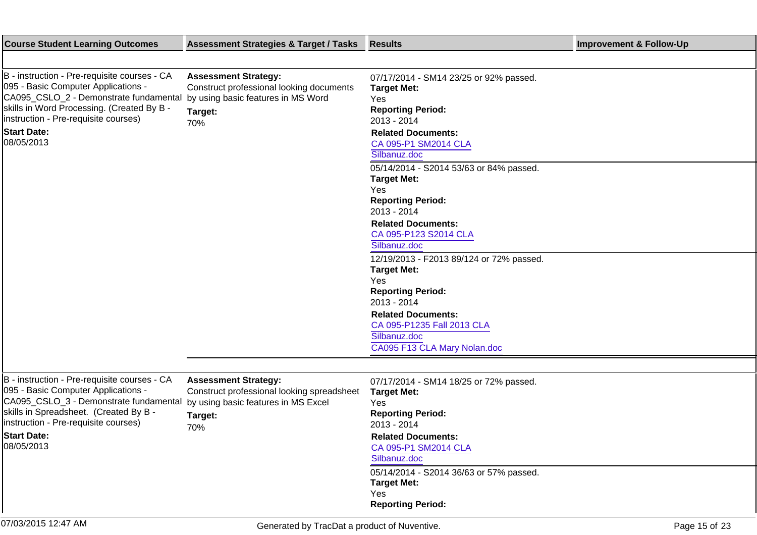| <b>Course Student Learning Outcomes</b>                                                                                                                                                                                                                  | <b>Assessment Strategies &amp; Target / Tasks</b>                                                                                  | <b>Results</b>                                                                                                                                                                      | <b>Improvement &amp; Follow-Up</b> |
|----------------------------------------------------------------------------------------------------------------------------------------------------------------------------------------------------------------------------------------------------------|------------------------------------------------------------------------------------------------------------------------------------|-------------------------------------------------------------------------------------------------------------------------------------------------------------------------------------|------------------------------------|
|                                                                                                                                                                                                                                                          |                                                                                                                                    |                                                                                                                                                                                     |                                    |
| B - instruction - Pre-requisite courses - CA<br>095 - Basic Computer Applications -<br>CA095_CSLO_2 - Demonstrate fundamental<br>skills in Word Processing. (Created By B -<br>linstruction - Pre-requisite courses)<br><b>Start Date:</b><br>08/05/2013 | <b>Assessment Strategy:</b><br>Construct professional looking documents<br>by using basic features in MS Word<br>Target:<br>70%    | 07/17/2014 - SM14 23/25 or 92% passed.<br><b>Target Met:</b><br>Yes<br><b>Reporting Period:</b><br>2013 - 2014<br><b>Related Documents:</b><br>CA 095-P1 SM2014 CLA<br>Silbanuz.doc |                                    |
|                                                                                                                                                                                                                                                          |                                                                                                                                    | 05/14/2014 - S2014 53/63 or 84% passed.<br><b>Target Met:</b><br>Yes<br><b>Reporting Period:</b><br>2013 - 2014                                                                     |                                    |
|                                                                                                                                                                                                                                                          |                                                                                                                                    | <b>Related Documents:</b><br>CA 095-P123 S2014 CLA<br>Silbanuz.doc                                                                                                                  |                                    |
|                                                                                                                                                                                                                                                          |                                                                                                                                    | 12/19/2013 - F2013 89/124 or 72% passed.<br><b>Target Met:</b><br>Yes<br><b>Reporting Period:</b>                                                                                   |                                    |
|                                                                                                                                                                                                                                                          |                                                                                                                                    | 2013 - 2014<br><b>Related Documents:</b><br>CA 095-P1235 Fall 2013 CLA<br>Silbanuz.doc<br>CA095 F13 CLA Mary Nolan.doc                                                              |                                    |
|                                                                                                                                                                                                                                                          |                                                                                                                                    |                                                                                                                                                                                     |                                    |
| B - instruction - Pre-requisite courses - CA<br>095 - Basic Computer Applications -<br>CA095_CSLO_3 - Demonstrate fundamental<br>skills in Spreadsheet. (Created By B -<br>instruction - Pre-requisite courses)<br><b>Start Date:</b><br>08/05/2013      | <b>Assessment Strategy:</b><br>Construct professional looking spreadsheet<br>by using basic features in MS Excel<br>Target:<br>70% | 07/17/2014 - SM14 18/25 or 72% passed.<br><b>Target Met:</b><br>Yes<br><b>Reporting Period:</b><br>2013 - 2014<br><b>Related Documents:</b><br>CA 095-P1 SM2014 CLA<br>Silbanuz.doc |                                    |
|                                                                                                                                                                                                                                                          |                                                                                                                                    | 05/14/2014 - S2014 36/63 or 57% passed.<br><b>Target Met:</b><br>Yes<br><b>Reporting Period:</b>                                                                                    |                                    |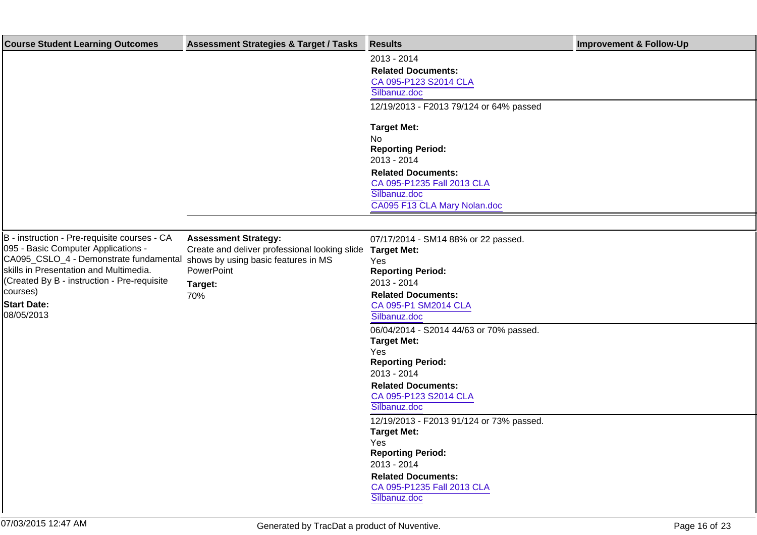| <b>Course Student Learning Outcomes</b>                                                                                                                                                                                                                                | <b>Assessment Strategies &amp; Target / Tasks</b>                                                                                                   | <b>Results</b>                                                                                                                                                                                                                                                                                                                                                                                                                                                                                                                                                           | <b>Improvement &amp; Follow-Up</b> |
|------------------------------------------------------------------------------------------------------------------------------------------------------------------------------------------------------------------------------------------------------------------------|-----------------------------------------------------------------------------------------------------------------------------------------------------|--------------------------------------------------------------------------------------------------------------------------------------------------------------------------------------------------------------------------------------------------------------------------------------------------------------------------------------------------------------------------------------------------------------------------------------------------------------------------------------------------------------------------------------------------------------------------|------------------------------------|
|                                                                                                                                                                                                                                                                        |                                                                                                                                                     | 2013 - 2014<br><b>Related Documents:</b><br>CA 095-P123 S2014 CLA<br>Silbanuz.doc<br>12/19/2013 - F2013 79/124 or 64% passed                                                                                                                                                                                                                                                                                                                                                                                                                                             |                                    |
|                                                                                                                                                                                                                                                                        |                                                                                                                                                     | <b>Target Met:</b><br><b>No</b><br><b>Reporting Period:</b><br>2013 - 2014<br><b>Related Documents:</b><br>CA 095-P1235 Fall 2013 CLA<br>Silbanuz.doc<br>CA095 F13 CLA Mary Nolan.doc                                                                                                                                                                                                                                                                                                                                                                                    |                                    |
|                                                                                                                                                                                                                                                                        |                                                                                                                                                     |                                                                                                                                                                                                                                                                                                                                                                                                                                                                                                                                                                          |                                    |
| B - instruction - Pre-requisite courses - CA<br>095 - Basic Computer Applications -<br>CA095_CSLO_4 - Demonstrate fundamental<br>skills in Presentation and Multimedia.<br>(Created By B - instruction - Pre-requisite<br>courses)<br><b>Start Date:</b><br>08/05/2013 | <b>Assessment Strategy:</b><br>Create and deliver professional looking slide<br>shows by using basic features in MS<br>PowerPoint<br>Target:<br>70% | 07/17/2014 - SM14 88% or 22 passed.<br><b>Target Met:</b><br>Yes<br><b>Reporting Period:</b><br>2013 - 2014<br><b>Related Documents:</b><br>CA 095-P1 SM2014 CLA<br>Silbanuz.doc<br>06/04/2014 - S2014 44/63 or 70% passed.<br><b>Target Met:</b><br>Yes<br><b>Reporting Period:</b><br>2013 - 2014<br><b>Related Documents:</b><br>CA 095-P123 S2014 CLA<br>Silbanuz.doc<br>12/19/2013 - F2013 91/124 or 73% passed.<br><b>Target Met:</b><br>Yes<br><b>Reporting Period:</b><br>2013 - 2014<br><b>Related Documents:</b><br>CA 095-P1235 Fall 2013 CLA<br>Silbanuz.doc |                                    |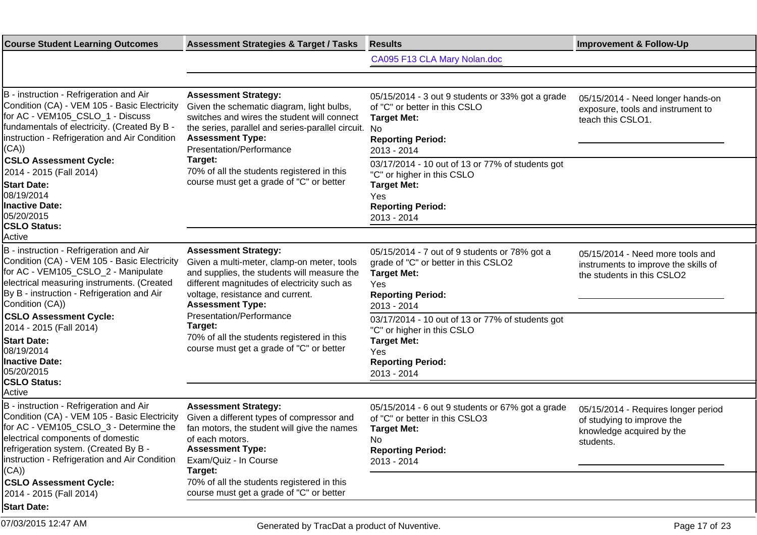| <b>Course Student Learning Outcomes</b>                                                                                                                                                                                                                                                                                                                                                                     | <b>Assessment Strategies &amp; Target / Tasks</b>                                                                                                                                                                                                                                                                                                                       | <b>Results</b>                                                                                                                                                                                                                                                                                                          | <b>Improvement &amp; Follow-Up</b>                                                                          |
|-------------------------------------------------------------------------------------------------------------------------------------------------------------------------------------------------------------------------------------------------------------------------------------------------------------------------------------------------------------------------------------------------------------|-------------------------------------------------------------------------------------------------------------------------------------------------------------------------------------------------------------------------------------------------------------------------------------------------------------------------------------------------------------------------|-------------------------------------------------------------------------------------------------------------------------------------------------------------------------------------------------------------------------------------------------------------------------------------------------------------------------|-------------------------------------------------------------------------------------------------------------|
|                                                                                                                                                                                                                                                                                                                                                                                                             |                                                                                                                                                                                                                                                                                                                                                                         | CA095 F13 CLA Mary Nolan.doc                                                                                                                                                                                                                                                                                            |                                                                                                             |
|                                                                                                                                                                                                                                                                                                                                                                                                             |                                                                                                                                                                                                                                                                                                                                                                         |                                                                                                                                                                                                                                                                                                                         |                                                                                                             |
| B - instruction - Refrigeration and Air<br>Condition (CA) - VEM 105 - Basic Electricity<br>for AC - VEM105_CSLO_1 - Discuss<br>fundamentals of electricity. (Created By B -<br>Instruction - Refrigeration and Air Condition<br>(CA))<br><b>CSLO Assessment Cycle:</b><br>2014 - 2015 (Fall 2014)<br><b>Start Date:</b><br>08/19/2014<br><b>Inactive Date:</b><br>05/20/2015                                | <b>Assessment Strategy:</b><br>Given the schematic diagram, light bulbs,<br>switches and wires the student will connect<br>the series, parallel and series-parallel circuit. No<br><b>Assessment Type:</b><br>Presentation/Performance<br>Target:<br>70% of all the students registered in this<br>course must get a grade of "C" or better                             | 05/15/2014 - 3 out 9 students or 33% got a grade<br>of "C" or better in this CSLO<br><b>Target Met:</b><br><b>Reporting Period:</b><br>2013 - 2014<br>03/17/2014 - 10 out of 13 or 77% of students got<br>"C" or higher in this CSLO<br><b>Target Met:</b><br>Yes<br><b>Reporting Period:</b><br>2013 - 2014            | 05/15/2014 - Need longer hands-on<br>exposure, tools and instrument to<br>teach this CSLO1.                 |
| <b>CSLO Status:</b><br>Active                                                                                                                                                                                                                                                                                                                                                                               |                                                                                                                                                                                                                                                                                                                                                                         |                                                                                                                                                                                                                                                                                                                         |                                                                                                             |
| B - instruction - Refrigeration and Air<br>Condition (CA) - VEM 105 - Basic Electricity<br>for AC - VEM105_CSLO_2 - Manipulate<br>electrical measuring instruments. (Created<br>By B - instruction - Refrigeration and Air<br>Condition (CA))<br><b>CSLO Assessment Cycle:</b><br>2014 - 2015 (Fall 2014)<br><b>Start Date:</b><br>08/19/2014<br><b>Inactive Date:</b><br>05/20/2015<br><b>CSLO Status:</b> | <b>Assessment Strategy:</b><br>Given a multi-meter, clamp-on meter, tools<br>and supplies, the students will measure the<br>different magnitudes of electricity such as<br>voltage, resistance and current.<br><b>Assessment Type:</b><br>Presentation/Performance<br>Target:<br>70% of all the students registered in this<br>course must get a grade of "C" or better | 05/15/2014 - 7 out of 9 students or 78% got a<br>grade of "C" or better in this CSLO2<br><b>Target Met:</b><br>Yes<br><b>Reporting Period:</b><br>2013 - 2014<br>03/17/2014 - 10 out of 13 or 77% of students got<br>"C" or higher in this CSLO<br><b>Target Met:</b><br>Yes<br><b>Reporting Period:</b><br>2013 - 2014 | 05/15/2014 - Need more tools and<br>instruments to improve the skills of<br>the students in this CSLO2      |
| Active                                                                                                                                                                                                                                                                                                                                                                                                      |                                                                                                                                                                                                                                                                                                                                                                         |                                                                                                                                                                                                                                                                                                                         |                                                                                                             |
| B - instruction - Refrigeration and Air<br>Condition (CA) - VEM 105 - Basic Electricity<br>for AC - VEM105_CSLO_3 - Determine the<br>electrical components of domestic<br>refrigeration system. (Created By B -<br>linstruction - Refrigeration and Air Condition<br>(CA))                                                                                                                                  | <b>Assessment Strategy:</b><br>Given a different types of compressor and<br>fan motors, the student will give the names<br>of each motors.<br><b>Assessment Type:</b><br>Exam/Quiz - In Course<br>Target:                                                                                                                                                               | 05/15/2014 - 6 out 9 students or 67% got a grade<br>of "C" or better in this CSLO3<br><b>Target Met:</b><br>No<br><b>Reporting Period:</b><br>2013 - 2014                                                                                                                                                               | 05/15/2014 - Requires longer period<br>of studying to improve the<br>knowledge acquired by the<br>students. |
| <b>CSLO Assessment Cycle:</b><br>2014 - 2015 (Fall 2014)                                                                                                                                                                                                                                                                                                                                                    | 70% of all the students registered in this<br>course must get a grade of "C" or better                                                                                                                                                                                                                                                                                  |                                                                                                                                                                                                                                                                                                                         |                                                                                                             |
| <b>Start Date:</b>                                                                                                                                                                                                                                                                                                                                                                                          |                                                                                                                                                                                                                                                                                                                                                                         |                                                                                                                                                                                                                                                                                                                         |                                                                                                             |
| 07/03/2015 12:47 AM                                                                                                                                                                                                                                                                                                                                                                                         | Generated by TracDat a product of Nuventive.                                                                                                                                                                                                                                                                                                                            |                                                                                                                                                                                                                                                                                                                         | Page 17 of 23                                                                                               |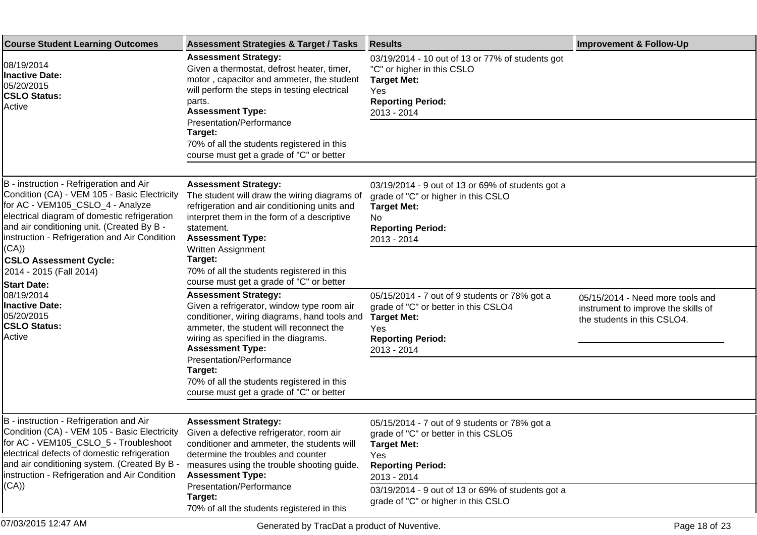| <b>Course Student Learning Outcomes</b>                                                                                                                                                                                                                                             | <b>Assessment Strategies &amp; Target / Tasks</b>                                                                                                                                                                                         | <b>Results</b>                                                                                                                                                   | <b>Improvement &amp; Follow-Up</b>                                                                     |
|-------------------------------------------------------------------------------------------------------------------------------------------------------------------------------------------------------------------------------------------------------------------------------------|-------------------------------------------------------------------------------------------------------------------------------------------------------------------------------------------------------------------------------------------|------------------------------------------------------------------------------------------------------------------------------------------------------------------|--------------------------------------------------------------------------------------------------------|
| 08/19/2014<br><b>Inactive Date:</b><br>05/20/2015<br><b>CSLO Status:</b><br>Active                                                                                                                                                                                                  | <b>Assessment Strategy:</b><br>Given a thermostat, defrost heater, timer,<br>motor, capacitor and ammeter, the student<br>will perform the steps in testing electrical<br>parts.<br><b>Assessment Type:</b><br>Presentation/Performance   | 03/19/2014 - 10 out of 13 or 77% of students got<br>"C" or higher in this CSLO<br><b>Target Met:</b><br>Yes<br><b>Reporting Period:</b><br>2013 - 2014           |                                                                                                        |
|                                                                                                                                                                                                                                                                                     | Target:<br>70% of all the students registered in this<br>course must get a grade of "C" or better                                                                                                                                         |                                                                                                                                                                  |                                                                                                        |
|                                                                                                                                                                                                                                                                                     |                                                                                                                                                                                                                                           |                                                                                                                                                                  |                                                                                                        |
| B - instruction - Refrigeration and Air<br>Condition (CA) - VEM 105 - Basic Electricity<br>for AC - VEM105_CSLO_4 - Analyze<br>electrical diagram of domestic refrigeration<br>and air conditioning unit. (Created By B -<br>Instruction - Refrigeration and Air Condition<br>(CA)) | <b>Assessment Strategy:</b><br>The student will draw the wiring diagrams of<br>refrigeration and air conditioning units and<br>interpret them in the form of a descriptive<br>statement.<br><b>Assessment Type:</b><br>Written Assignment | 03/19/2014 - 9 out of 13 or 69% of students got a<br>grade of "C" or higher in this CSLO<br><b>Target Met:</b><br>No.<br><b>Reporting Period:</b><br>2013 - 2014 |                                                                                                        |
| <b>CSLO Assessment Cycle:</b><br>2014 - 2015 (Fall 2014)<br><b>Start Date:</b>                                                                                                                                                                                                      | Target:<br>70% of all the students registered in this<br>course must get a grade of "C" or better                                                                                                                                         |                                                                                                                                                                  |                                                                                                        |
| 08/19/2014<br><b>Inactive Date:</b><br>05/20/2015<br><b>CSLO Status:</b><br>Active                                                                                                                                                                                                  | <b>Assessment Strategy:</b><br>Given a refrigerator, window type room air<br>conditioner, wiring diagrams, hand tools and<br>ammeter, the student will reconnect the<br>wiring as specified in the diagrams.<br><b>Assessment Type:</b>   | 05/15/2014 - 7 out of 9 students or 78% got a<br>grade of "C" or better in this CSLO4<br><b>Target Met:</b><br>Yes<br><b>Reporting Period:</b><br>2013 - 2014    | 05/15/2014 - Need more tools and<br>instrument to improve the skills of<br>the students in this CSLO4. |
|                                                                                                                                                                                                                                                                                     | Presentation/Performance<br>Target:<br>70% of all the students registered in this<br>course must get a grade of "C" or better                                                                                                             |                                                                                                                                                                  |                                                                                                        |
|                                                                                                                                                                                                                                                                                     |                                                                                                                                                                                                                                           |                                                                                                                                                                  |                                                                                                        |
| B - instruction - Refrigeration and Air<br>Condition (CA) - VEM 105 - Basic Electricity<br>for AC - VEM105_CSLO_5 - Troubleshoot<br>electrical defects of domestic refrigeration<br>and air conditioning system. (Created By B -<br>Instruction - Refrigeration and Air Condition   | <b>Assessment Strategy:</b><br>Given a defective refrigerator, room air<br>conditioner and ammeter, the students will<br>determine the troubles and counter<br>measures using the trouble shooting guide.<br><b>Assessment Type:</b>      | 05/15/2014 - 7 out of 9 students or 78% got a<br>grade of "C" or better in this CSLO5<br><b>Target Met:</b><br>Yes<br><b>Reporting Period:</b><br>2013 - 2014    |                                                                                                        |
| (CA))                                                                                                                                                                                                                                                                               | Presentation/Performance<br>Target:<br>70% of all the students registered in this                                                                                                                                                         | 03/19/2014 - 9 out of 13 or 69% of students got a<br>grade of "C" or higher in this CSLO                                                                         |                                                                                                        |
| 07/03/2015 12:47 AM                                                                                                                                                                                                                                                                 | Generated by TracDat a product of Nuventive.                                                                                                                                                                                              |                                                                                                                                                                  | Page 18 of 23                                                                                          |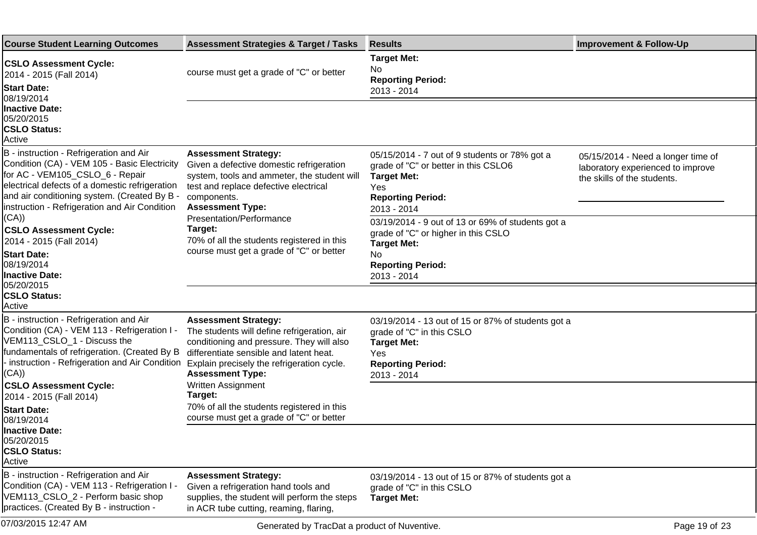| <b>Course Student Learning Outcomes</b>                                                                                                                                                                                                                                       | <b>Assessment Strategies &amp; Target / Tasks</b>                                                                                                                                                                                           | <b>Results</b>                                                                                                                                                   | <b>Improvement &amp; Follow-Up</b>                                                                     |
|-------------------------------------------------------------------------------------------------------------------------------------------------------------------------------------------------------------------------------------------------------------------------------|---------------------------------------------------------------------------------------------------------------------------------------------------------------------------------------------------------------------------------------------|------------------------------------------------------------------------------------------------------------------------------------------------------------------|--------------------------------------------------------------------------------------------------------|
| <b>CSLO Assessment Cycle:</b><br>2014 - 2015 (Fall 2014)<br><b>Start Date:</b><br>08/19/2014                                                                                                                                                                                  | course must get a grade of "C" or better                                                                                                                                                                                                    | <b>Target Met:</b><br>No<br><b>Reporting Period:</b><br>2013 - 2014                                                                                              |                                                                                                        |
| <b>Inactive Date:</b><br>05/20/2015<br><b>CSLO Status:</b><br>Active                                                                                                                                                                                                          |                                                                                                                                                                                                                                             |                                                                                                                                                                  |                                                                                                        |
| B - instruction - Refrigeration and Air<br>Condition (CA) - VEM 105 - Basic Electricity<br>for AC - VEM105_CSLO_6 - Repair<br>electrical defects of a domestic refrigeration<br>and air conditioning system. (Created By B -<br>Instruction - Refrigeration and Air Condition | <b>Assessment Strategy:</b><br>Given a defective domestic refrigeration<br>system, tools and ammeter, the student will<br>test and replace defective electrical<br>components.<br><b>Assessment Type:</b>                                   | 05/15/2014 - 7 out of 9 students or 78% got a<br>grade of "C" or better in this CSLO6<br><b>Target Met:</b><br>Yes<br><b>Reporting Period:</b><br>2013 - 2014    | 05/15/2014 - Need a longer time of<br>laboratory experienced to improve<br>the skills of the students. |
| (CA))<br><b>CSLO Assessment Cycle:</b><br>2014 - 2015 (Fall 2014)<br><b>Start Date:</b><br>08/19/2014<br><b>Inactive Date:</b><br>05/20/2015                                                                                                                                  | Presentation/Performance<br>Target:<br>70% of all the students registered in this<br>course must get a grade of "C" or better                                                                                                               | 03/19/2014 - 9 out of 13 or 69% of students got a<br>grade of "C" or higher in this CSLO<br><b>Target Met:</b><br>No.<br><b>Reporting Period:</b><br>2013 - 2014 |                                                                                                        |
| <b>CSLO Status:</b><br>Active                                                                                                                                                                                                                                                 |                                                                                                                                                                                                                                             |                                                                                                                                                                  |                                                                                                        |
| B - instruction - Refrigeration and Air<br>Condition (CA) - VEM 113 - Refrigeration I -<br>VEM113_CSLO_1 - Discuss the<br>fundamentals of refrigeration. (Created By B<br>instruction - Refrigeration and Air Condition<br>(CA))                                              | <b>Assessment Strategy:</b><br>The students will define refrigeration, air<br>conditioning and pressure. They will also<br>differentiate sensible and latent heat.<br>Explain precisely the refrigeration cycle.<br><b>Assessment Type:</b> | 03/19/2014 - 13 out of 15 or 87% of students got a<br>grade of "C" in this CSLO<br><b>Target Met:</b><br>Yes<br><b>Reporting Period:</b><br>2013 - 2014          |                                                                                                        |
| <b>CSLO Assessment Cycle:</b><br>2014 - 2015 (Fall 2014)<br><b>Start Date:</b><br>08/19/2014                                                                                                                                                                                  | Written Assignment<br>Target:<br>70% of all the students registered in this<br>course must get a grade of "C" or better                                                                                                                     |                                                                                                                                                                  |                                                                                                        |
| <b>Inactive Date:</b><br>05/20/2015<br><b>CSLO Status:</b><br>Active                                                                                                                                                                                                          |                                                                                                                                                                                                                                             |                                                                                                                                                                  |                                                                                                        |
| B - instruction - Refrigeration and Air<br>Condition (CA) - VEM 113 - Refrigeration I<br>VEM113_CSLO_2 - Perform basic shop<br>practices. (Created By B - instruction -                                                                                                       | <b>Assessment Strategy:</b><br>Given a refrigeration hand tools and<br>supplies, the student will perform the steps<br>in ACR tube cutting, reaming, flaring,                                                                               | 03/19/2014 - 13 out of 15 or 87% of students got a<br>grade of "C" in this CSLO<br><b>Target Met:</b>                                                            |                                                                                                        |
| 07/03/2015 12:47 AM                                                                                                                                                                                                                                                           | Generated by TracDat a product of Nuventive.                                                                                                                                                                                                |                                                                                                                                                                  | Page 19 of 23                                                                                          |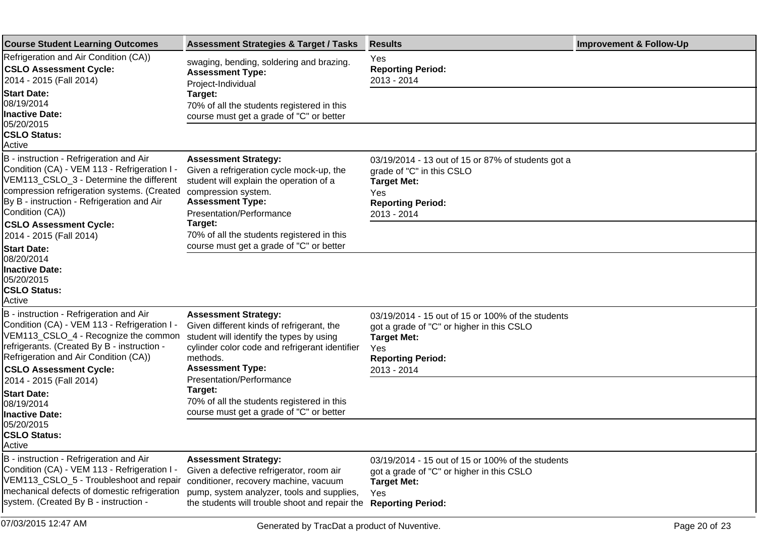| <b>Course Student Learning Outcomes</b>                                                                                                                                                                                                                  | <b>Assessment Strategies &amp; Target / Tasks</b>                                                                                                                                                                | <b>Results</b>                                                                                                                                                         | <b>Improvement &amp; Follow-Up</b> |
|----------------------------------------------------------------------------------------------------------------------------------------------------------------------------------------------------------------------------------------------------------|------------------------------------------------------------------------------------------------------------------------------------------------------------------------------------------------------------------|------------------------------------------------------------------------------------------------------------------------------------------------------------------------|------------------------------------|
| Refrigeration and Air Condition (CA))<br><b>CSLO Assessment Cycle:</b><br>2014 - 2015 (Fall 2014)                                                                                                                                                        | swaging, bending, soldering and brazing.<br><b>Assessment Type:</b><br>Project-Individual                                                                                                                        | Yes<br><b>Reporting Period:</b><br>2013 - 2014                                                                                                                         |                                    |
| <b>Start Date:</b><br>08/19/2014<br><b>Inactive Date:</b><br>05/20/2015                                                                                                                                                                                  | Target:<br>70% of all the students registered in this<br>course must get a grade of "C" or better                                                                                                                |                                                                                                                                                                        |                                    |
| <b>CSLO Status:</b><br>Active                                                                                                                                                                                                                            |                                                                                                                                                                                                                  |                                                                                                                                                                        |                                    |
| B - instruction - Refrigeration and Air<br>Condition (CA) - VEM 113 - Refrigeration I -<br>VEM113_CSLO_3 - Determine the different<br>compression refrigeration systems. (Created<br>By B - instruction - Refrigeration and Air<br>Condition (CA))       | <b>Assessment Strategy:</b><br>Given a refrigeration cycle mock-up, the<br>student will explain the operation of a<br>compression system.<br><b>Assessment Type:</b><br>Presentation/Performance                 | 03/19/2014 - 13 out of 15 or 87% of students got a<br>grade of "C" in this CSLO<br><b>Target Met:</b><br>Yes<br><b>Reporting Period:</b><br>2013 - 2014                |                                    |
| <b>CSLO Assessment Cycle:</b><br>2014 - 2015 (Fall 2014)                                                                                                                                                                                                 | Target:<br>70% of all the students registered in this<br>course must get a grade of "C" or better                                                                                                                |                                                                                                                                                                        |                                    |
| <b>Start Date:</b><br>08/20/2014<br><b>Inactive Date:</b><br>05/20/2015<br><b>CSLO Status:</b><br>Active                                                                                                                                                 |                                                                                                                                                                                                                  |                                                                                                                                                                        |                                    |
| B - instruction - Refrigeration and Air<br>Condition (CA) - VEM 113 - Refrigeration I -<br>VEM113_CSLO_4 - Recognize the common<br>refrigerants. (Created By B - instruction -<br>Refrigeration and Air Condition (CA))<br><b>CSLO Assessment Cycle:</b> | <b>Assessment Strategy:</b><br>Given different kinds of refrigerant, the<br>student will identify the types by using<br>cylinder color code and refrigerant identifier<br>methods.<br><b>Assessment Type:</b>    | 03/19/2014 - 15 out of 15 or 100% of the students<br>got a grade of "C" or higher in this CSLO<br><b>Target Met:</b><br>Yes<br><b>Reporting Period:</b><br>2013 - 2014 |                                    |
| 2014 - 2015 (Fall 2014)<br><b>Start Date:</b><br>08/19/2014<br><b>Inactive Date:</b>                                                                                                                                                                     | Presentation/Performance<br>Target:<br>70% of all the students registered in this<br>course must get a grade of "C" or better                                                                                    |                                                                                                                                                                        |                                    |
| 05/20/2015<br><b>CSLO Status:</b><br>Active                                                                                                                                                                                                              |                                                                                                                                                                                                                  |                                                                                                                                                                        |                                    |
| B - instruction - Refrigeration and Air<br>Condition (CA) - VEM 113 - Refrigeration I -<br>VEM113_CSLO_5 - Troubleshoot and repair<br>mechanical defects of domestic refrigeration<br>system. (Created By B - instruction -                              | <b>Assessment Strategy:</b><br>Given a defective refrigerator, room air<br>conditioner, recovery machine, vacuum<br>pump, system analyzer, tools and supplies,<br>the students will trouble shoot and repair the | 03/19/2014 - 15 out of 15 or 100% of the students<br>got a grade of "C" or higher in this CSLO<br><b>Target Met:</b><br>Yes<br><b>Reporting Period:</b>                |                                    |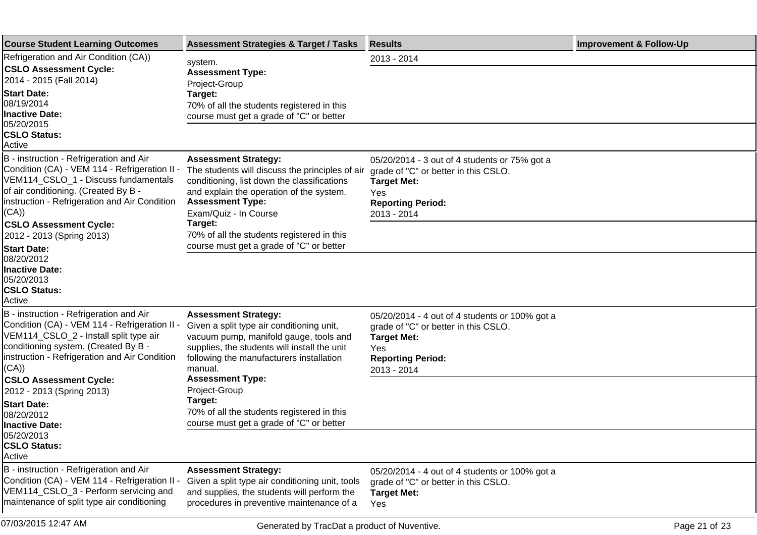| <b>Course Student Learning Outcomes</b>                                                                                                                                                                                                                                                                                                                                 | <b>Assessment Strategies &amp; Target / Tasks</b>                                                                                                                                                                                                                                                                                  | <b>Results</b>                                                                                                                                                 | <b>Improvement &amp; Follow-Up</b> |
|-------------------------------------------------------------------------------------------------------------------------------------------------------------------------------------------------------------------------------------------------------------------------------------------------------------------------------------------------------------------------|------------------------------------------------------------------------------------------------------------------------------------------------------------------------------------------------------------------------------------------------------------------------------------------------------------------------------------|----------------------------------------------------------------------------------------------------------------------------------------------------------------|------------------------------------|
| Refrigeration and Air Condition (CA))<br><b>CSLO Assessment Cycle:</b><br>2014 - 2015 (Fall 2014)<br><b>Start Date:</b><br>08/19/2014<br><b>Inactive Date:</b><br>05/20/2015<br><b>CSLO Status:</b>                                                                                                                                                                     | system.<br><b>Assessment Type:</b><br>Project-Group<br>Target:<br>70% of all the students registered in this<br>course must get a grade of "C" or better                                                                                                                                                                           | 2013 - 2014                                                                                                                                                    |                                    |
| Active<br>B - instruction - Refrigeration and Air<br>Condition (CA) - VEM 114 - Refrigeration II -<br>VEM114_CSLO_1 - Discuss fundamentals<br>of air conditioning. (Created By B -<br>instruction - Refrigeration and Air Condition<br>(CA))<br><b>CSLO Assessment Cycle:</b><br>2012 - 2013 (Spring 2013)<br><b>Start Date:</b><br>08/20/2012<br><b>Inactive Date:</b> | <b>Assessment Strategy:</b><br>The students will discuss the principles of air<br>conditioning, list down the classifications<br>and explain the operation of the system.<br><b>Assessment Type:</b><br>Exam/Quiz - In Course<br>Target:<br>70% of all the students registered in this<br>course must get a grade of "C" or better | 05/20/2014 - 3 out of 4 students or 75% got a<br>grade of "C" or better in this CSLO.<br><b>Target Met:</b><br>Yes<br><b>Reporting Period:</b><br>2013 - 2014  |                                    |
| 05/20/2013<br><b>CSLO Status:</b><br>Active<br>B - instruction - Refrigeration and Air<br>Condition (CA) - VEM 114 - Refrigeration II -<br>VEM114_CSLO_2 - Install split type air<br>conditioning system. (Created By B -<br>instruction - Refrigeration and Air Condition<br>(CA))                                                                                     | <b>Assessment Strategy:</b><br>Given a split type air conditioning unit,<br>vacuum pump, manifold gauge, tools and<br>supplies, the students will install the unit<br>following the manufacturers installation<br>manual.                                                                                                          | 05/20/2014 - 4 out of 4 students or 100% got a<br>grade of "C" or better in this CSLO.<br><b>Target Met:</b><br>Yes<br><b>Reporting Period:</b><br>2013 - 2014 |                                    |
| <b>CSLO Assessment Cycle:</b><br>2012 - 2013 (Spring 2013)<br><b>Start Date:</b><br>08/20/2012<br><b>Inactive Date:</b><br>05/20/2013<br><b>CSLO Status:</b><br>Active                                                                                                                                                                                                  | <b>Assessment Type:</b><br>Project-Group<br>Target:<br>70% of all the students registered in this<br>course must get a grade of "C" or better                                                                                                                                                                                      |                                                                                                                                                                |                                    |
| B - instruction - Refrigeration and Air<br>Condition (CA) - VEM 114 - Refrigeration II<br>VEM114_CSLO_3 - Perform servicing and<br>maintenance of split type air conditioning                                                                                                                                                                                           | <b>Assessment Strategy:</b><br>Given a split type air conditioning unit, tools<br>and supplies, the students will perform the<br>procedures in preventive maintenance of a                                                                                                                                                         | 05/20/2014 - 4 out of 4 students or 100% got a<br>grade of "C" or better in this CSLO.<br><b>Target Met:</b><br>Yes                                            |                                    |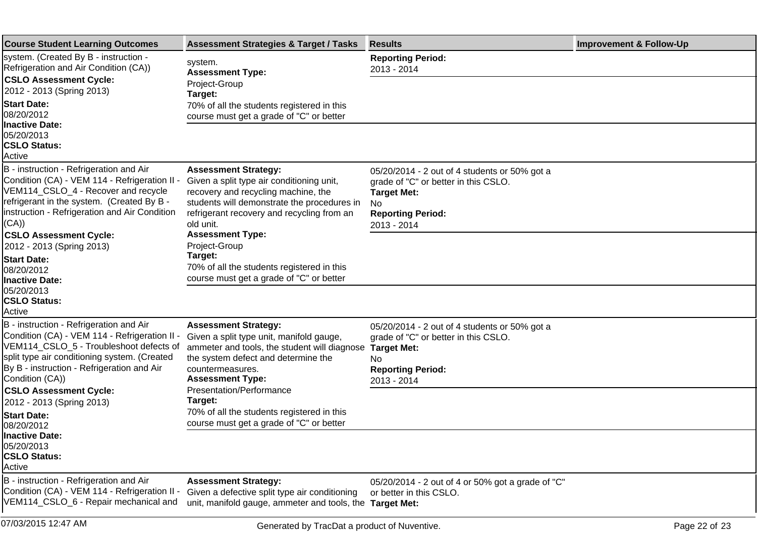| <b>Course Student Learning Outcomes</b>                                                                                                                                                                                                              | <b>Assessment Strategies &amp; Target / Tasks</b>                                                                                                                                                                         | <b>Results</b>                                                                                                                                                | <b>Improvement &amp; Follow-Up</b> |
|------------------------------------------------------------------------------------------------------------------------------------------------------------------------------------------------------------------------------------------------------|---------------------------------------------------------------------------------------------------------------------------------------------------------------------------------------------------------------------------|---------------------------------------------------------------------------------------------------------------------------------------------------------------|------------------------------------|
| system. (Created By B - instruction -<br>Refrigeration and Air Condition (CA))                                                                                                                                                                       | system.<br><b>Assessment Type:</b>                                                                                                                                                                                        | <b>Reporting Period:</b><br>2013 - 2014                                                                                                                       |                                    |
| <b>CSLO Assessment Cycle:</b><br>2012 - 2013 (Spring 2013)                                                                                                                                                                                           | Project-Group<br>Target:                                                                                                                                                                                                  |                                                                                                                                                               |                                    |
| <b>Start Date:</b><br>08/20/2012                                                                                                                                                                                                                     | 70% of all the students registered in this<br>course must get a grade of "C" or better                                                                                                                                    |                                                                                                                                                               |                                    |
| <b>Inactive Date:</b><br>05/20/2013<br><b>CSLO Status:</b><br>Active                                                                                                                                                                                 |                                                                                                                                                                                                                           |                                                                                                                                                               |                                    |
| B - instruction - Refrigeration and Air<br>Condition (CA) - VEM 114 - Refrigeration II -<br>VEM114_CSLO_4 - Recover and recycle<br>refrigerant in the system. (Created By B -<br>Instruction - Refrigeration and Air Condition<br>(CA))              | <b>Assessment Strategy:</b><br>Given a split type air conditioning unit,<br>recovery and recycling machine, the<br>students will demonstrate the procedures in<br>refrigerant recovery and recycling from an<br>old unit. | 05/20/2014 - 2 out of 4 students or 50% got a<br>grade of "C" or better in this CSLO.<br><b>Target Met:</b><br>No.<br><b>Reporting Period:</b><br>2013 - 2014 |                                    |
| <b>CSLO Assessment Cycle:</b><br>2012 - 2013 (Spring 2013)                                                                                                                                                                                           | <b>Assessment Type:</b><br>Project-Group                                                                                                                                                                                  |                                                                                                                                                               |                                    |
| <b>Start Date:</b><br>08/20/2012<br><b>Inactive Date:</b>                                                                                                                                                                                            | Target:<br>70% of all the students registered in this<br>course must get a grade of "C" or better                                                                                                                         |                                                                                                                                                               |                                    |
| 05/20/2013<br><b>CSLO Status:</b><br>Active                                                                                                                                                                                                          |                                                                                                                                                                                                                           |                                                                                                                                                               |                                    |
| B - instruction - Refrigeration and Air<br>Condition (CA) - VEM 114 - Refrigeration II -<br>VEM114_CSLO_5 - Troubleshoot defects of<br>split type air conditioning system. (Created<br>By B - instruction - Refrigeration and Air<br>Condition (CA)) | <b>Assessment Strategy:</b><br>Given a split type unit, manifold gauge,<br>ammeter and tools, the student will diagnose<br>the system defect and determine the<br>countermeasures.<br><b>Assessment Type:</b>             | 05/20/2014 - 2 out of 4 students or 50% got a<br>grade of "C" or better in this CSLO.<br><b>Target Met:</b><br>No.<br><b>Reporting Period:</b><br>2013 - 2014 |                                    |
| <b>CSLO Assessment Cycle:</b><br>2012 - 2013 (Spring 2013)<br><b>Start Date:</b><br>08/20/2012                                                                                                                                                       | Presentation/Performance<br>Target:<br>70% of all the students registered in this<br>course must get a grade of "C" or better                                                                                             |                                                                                                                                                               |                                    |
| Inactive Date:<br>05/20/2013<br><b>CSLO Status:</b><br>Active                                                                                                                                                                                        |                                                                                                                                                                                                                           |                                                                                                                                                               |                                    |
| B - instruction - Refrigeration and Air<br>Condition (CA) - VEM 114 - Refrigeration II -<br>VEM114_CSLO_6 - Repair mechanical and                                                                                                                    | <b>Assessment Strategy:</b><br>Given a defective split type air conditioning<br>unit, manifold gauge, ammeter and tools, the Target Met:                                                                                  | 05/20/2014 - 2 out of 4 or 50% got a grade of "C"<br>or better in this CSLO.                                                                                  |                                    |
| 07/03/2015 12:47 AM                                                                                                                                                                                                                                  | Generated by TracDat a product of Nuventive.                                                                                                                                                                              |                                                                                                                                                               | Page 22 of 23                      |